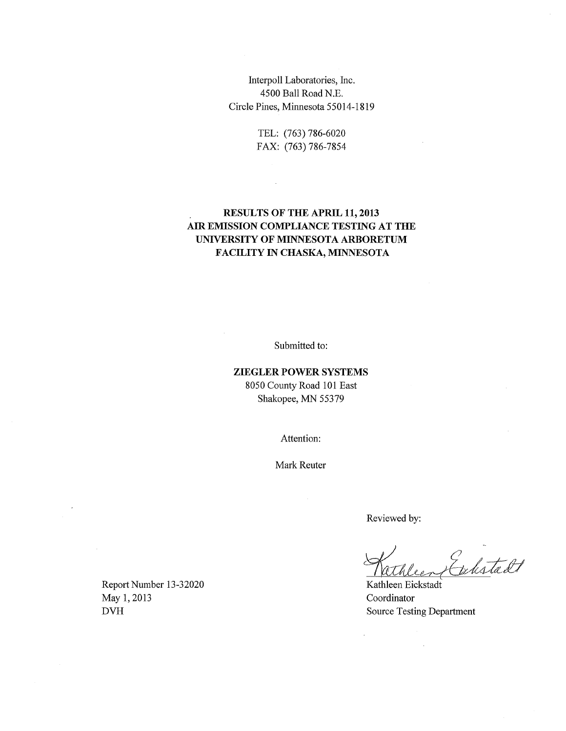Interpoll Laboratories, Inc. 4500 Ball Road N.E. Circle Pines, Minnesota 55014-1819

> TEL: (763) 786-6020 FAX: (763) 786-7854

> > $\sim$

### **RESULTS OF THE APRIL 11, 2013 AIR EMISSION COMPLIANCE TESTING AT THE UNIVERSITY OF MINNESOTA ARBORETUM FACILITY IN CHASKA, MINNESOTA**

Submitted to:

### **ZIEGLER POWER SYSTEMS**  8050 County Road 101 East

Shakopee, MN 55379

Attention:

Mark Reuter

Reviewed by:

 $\ddot{\phantom{a}}$ 

Exhitadt

Kathleen Eickstadt Coordinator

 $\mathcal{A}^{\mathcal{A}}$ 

Report Number 13-32020 May 1, 2013 DVH Source Testing Department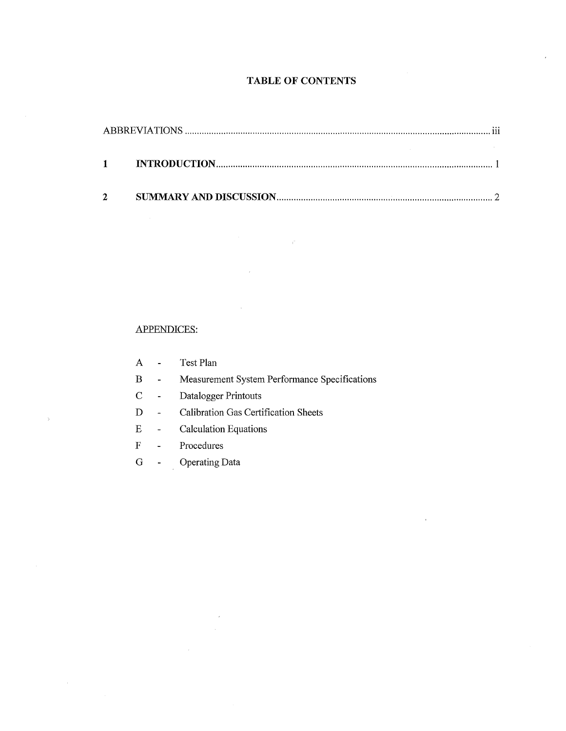### **TABLE OF CONTENTS**

| $\mathbf{1}$ |  |
|--------------|--|
|              |  |
|              |  |
|              |  |

 $\hat{V}$ 

#### APPENDICES:

| A | Test Plan |  |
|---|-----------|--|
|   |           |  |

- B Measurement System Performance Specifications
- C Datalogger Printouts
- D Calibration Gas Certification Sheets
- E Calculation Equations
- F Procedures

 $\bar{\rm{b}}$ 

 $\bar{\gamma}$ 

G - Operating Data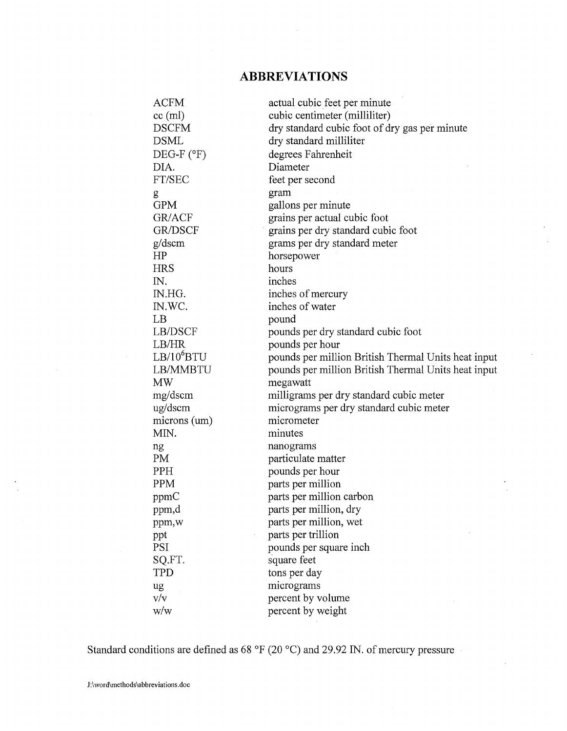### **ABBREVIATIONS**

| <b>ACFM</b>            | actual cubic feet per minute                        |
|------------------------|-----------------------------------------------------|
| $cc$ (ml)              | cubic centimeter (milliliter)                       |
| <b>DSCFM</b>           | dry standard cubic foot of dry gas per minute       |
| <b>DSML</b>            | dry standard milliliter                             |
| DEG-F $(°F)$           | degrees Fahrenheit                                  |
| DIA.                   | Diameter                                            |
| FT/SEC                 | feet per second                                     |
| g                      | gram                                                |
| <b>GPM</b>             | gallons per minute                                  |
| GR/ACF                 | grains per actual cubic foot                        |
| <b>GR/DSCF</b>         | grains per dry standard cubic foot                  |
| g/dscm                 | grams per dry standard meter                        |
| HP                     | horsepower                                          |
| <b>HRS</b>             | hours                                               |
| IN.                    | inches                                              |
| IN.HG.                 | inches of mercury                                   |
| IN.WC.                 | inches of water                                     |
| LB                     | pound                                               |
| LB/DSCF                | pounds per dry standard cubic foot                  |
| LB/HR                  | pounds per hour                                     |
| LB/10 <sup>6</sup> BTU | pounds per million British Thermal Units heat input |
| LB/MMBTU               | pounds per million British Thermal Units heat input |
| <b>MW</b>              | megawatt                                            |
| mg/dscm                | milligrams per dry standard cubic meter             |
| ug/dscm                | micrograms per dry standard cubic meter             |
| microns (um)           | micrometer                                          |
| MIN.                   | minutes                                             |
| ng                     | nanograms                                           |
| PM                     | particulate matter                                  |
| PPH                    | pounds per hour                                     |
| PPM                    | parts per million                                   |
| ppmC                   | parts per million carbon                            |
| ppm,d                  | parts per million, dry                              |
| ppm,w                  | parts per million, wet                              |
| ppt                    | parts per trillion                                  |
| <b>PSI</b>             | pounds per square inch                              |
| SQ.FT.                 | square feet                                         |
| <b>TPD</b>             | tons per day                                        |
| ug                     | micrograms                                          |
| v/v                    | percent by volume                                   |
| w/w                    | percent by weight                                   |

Standard conditions are defined as 68 °F (20 °C) and 29.92 IN. of mercury pressure

 $\mathcal{L}$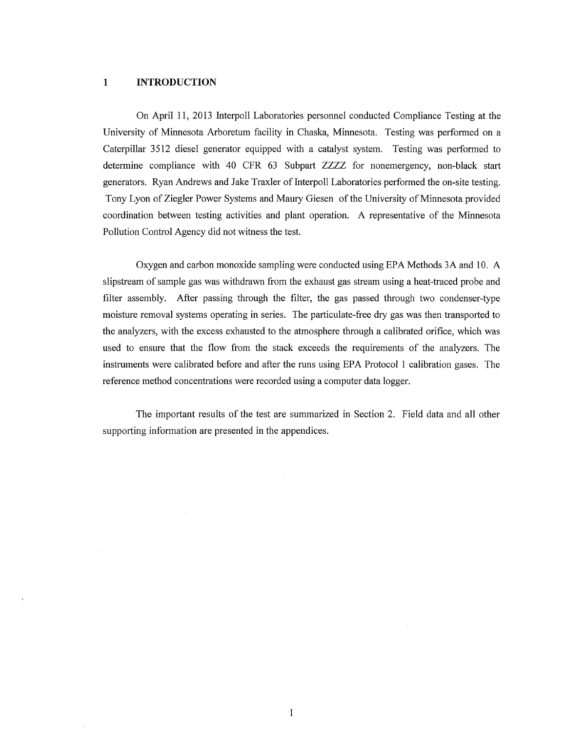#### **1 INTRODUCTION**

On April 11, 2013 Interpoll Laboratories personnel conducted Compliance Testing at the University of Minnesota Arboretum facility in Chaska, Minnesota. Testing was performed on a Caterpillar 3512 diesel generator equipped with a catalyst system. Testing was performed to determine compliance with 40 CPR 63 Subpart ZZZZ for nonemergency, non-black start generators. Ryan Andrews and Jake Traxler of Interpoll Laboratories performed the on-site testing. Tony Lyon of Ziegler Power Systems and Maury Giesen of the University of Minnesota provided coordination between testing activities and plant operation. A representative of the Minnesota Pollution Control Agency did not witness the test.

Oxygen and carbon monoxide sampling were conducted using EPA Methods 3A and 10. A slipstream of sample gas was withdrawn from the exhaust gas stream using a heat-traced probe and filter assembly. After passing through the filter, the gas passed through two condenser-type moisture removal systems operating in series. The particulate-free dry gas was then transported to the analyzers, with the excess exhausted to the atmosphere through a calibrated orifice, which was used to ensure that the flow from the stack exceeds the requirements of the analyzers. The instruments were calibrated before and after the runs using EPA Protocol 1 calibration gases. The reference method concentrations were recorded using a computer data logger.

The important results of the test are summarized in Section 2. Field data and all other supporting information are presented in the appendices.

 $\mathbf{1}$ 

 $\hat{\boldsymbol{\beta}}$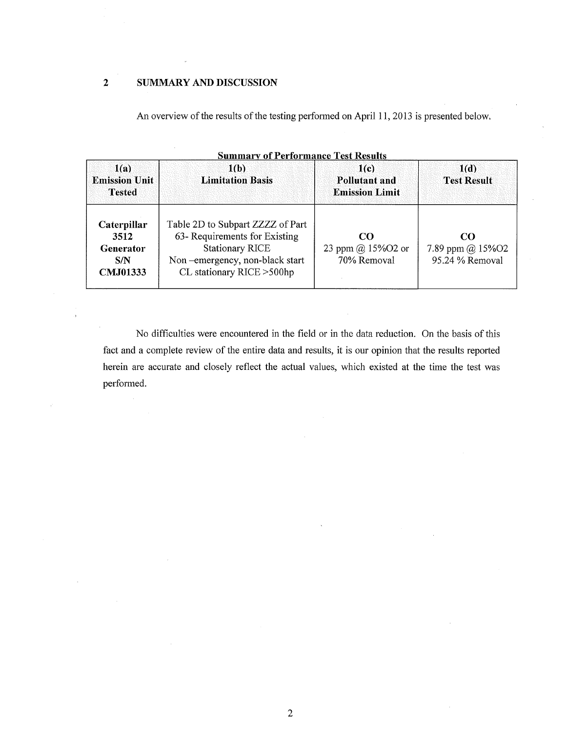#### **2 SUMMARY AND DISCUSSION**

An overview of the results of the testing performed on April 11, 2013 is presented below.

| <b>Summary of Performance Test Results</b>          |                                                                                                                                                             |                                                       |                                           |  |  |  |  |  |
|-----------------------------------------------------|-------------------------------------------------------------------------------------------------------------------------------------------------------------|-------------------------------------------------------|-------------------------------------------|--|--|--|--|--|
| 1(a)<br><b>Emission Unit</b><br><b>Tested</b>       | 1(b)<br><b>Limitation Basis</b>                                                                                                                             | 1(c)<br><b>Pollutant and</b><br><b>Emission Limit</b> | 1(d)<br><b>Test Result</b>                |  |  |  |  |  |
| Caterpillar<br>3512<br>Generator<br>S/N<br>CMJ01333 | Table 2D to Subpart ZZZZ of Part<br>63- Requirements for Existing<br><b>Stationary RICE</b><br>Non-emergency, non-black start<br>CL stationary RICE > 500hp | CO.<br>23 ppm @ 15%O2 or<br>70% Removal               | CO<br>7.89 ppm @ 15%O2<br>95.24 % Removal |  |  |  |  |  |

No difficulties were encountered in the field or in the data reduction. On the basis of this fact and a complete review of the entire data and results, it is our opinion that the results reported herein are accurate and closely reflect the actual values, which existed at the time the test was performed.

2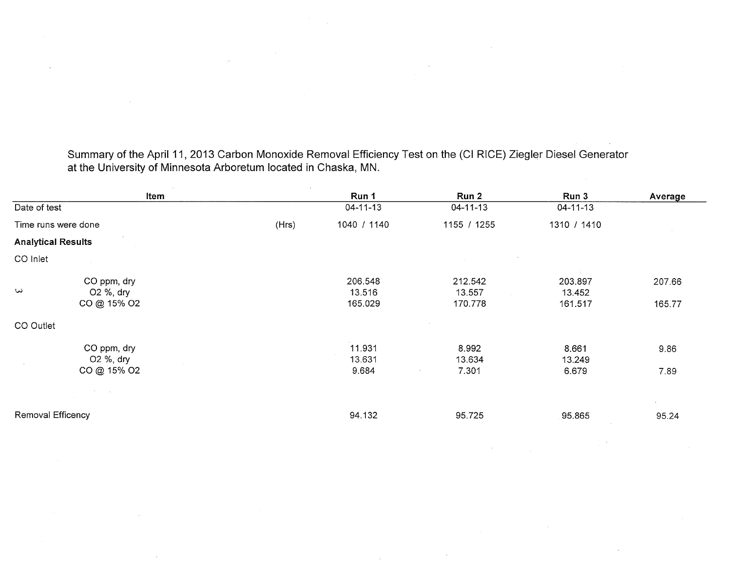Summary of the April 11, 2013 Carbon Monoxide Removal Efficiency Test on the (Cl RICE) Ziegler Diesel Generator at the University of Minnesota Arboretum located in Chaska, MN.

|                                                     | Item  | Run 1                        | Run 2                        | Run 3                        | Average          |
|-----------------------------------------------------|-------|------------------------------|------------------------------|------------------------------|------------------|
| Date of test                                        |       | $04 - 11 - 13$               | $04 - 11 - 13$               | $04 - 11 - 13$               |                  |
| Time runs were done                                 | (Hrs) | 1040 / 1140                  | 1155 / 1255                  | 1310 / 1410                  |                  |
| <b>Analytical Results</b>                           |       |                              |                              |                              |                  |
| CO Inlet                                            |       |                              |                              |                              |                  |
| CO ppm, dry<br>$\omega$<br>O2 %, dry<br>CO @ 15% O2 |       | 206.548<br>13.516<br>165.029 | 212.542<br>13.557<br>170.778 | 203.897<br>13.452<br>161.517 | 207.66<br>165.77 |
| CO Outlet                                           |       |                              |                              |                              |                  |
| CO ppm, dry<br>O2 %, dry<br>CO @ 15% O2             |       | 11.931<br>13.631<br>9.684    | 8.992<br>13.634<br>7.301     | 8.661<br>13.249<br>6.679     | 9.86<br>7.89     |
|                                                     |       |                              |                              |                              |                  |
| Removal Efficency                                   |       | 94.132                       | 95.725                       | 95.865                       | 95.24            |

 $\sim$ 

 $\sim$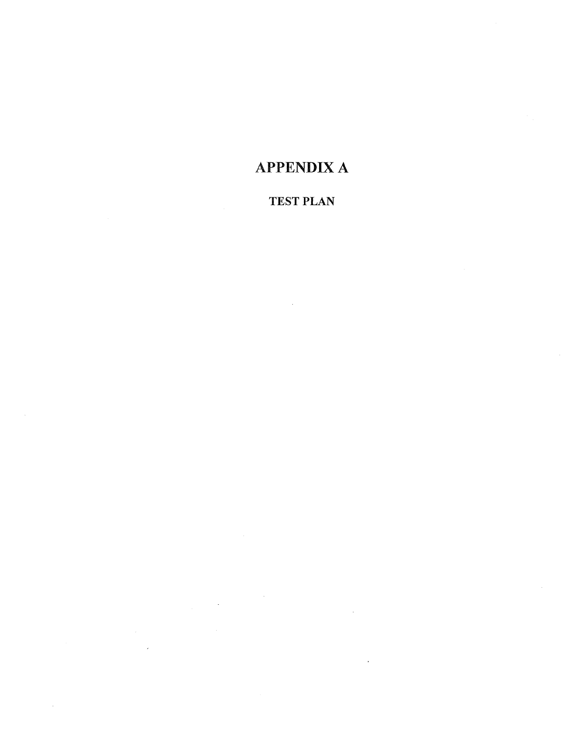# APPENDIX A

# TEST PLAN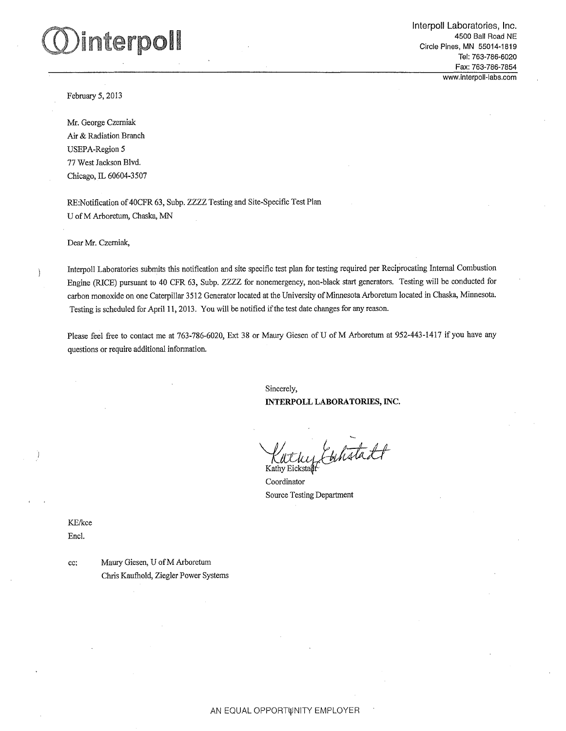# interpoll

Interpol! Laboratories, Inc. 4500 Ball Road NE Circle Pines, MN 55014-1819 Tel: 763-786-6020 Fax: 763-786-7854 www.interpoll-labs.com

February 5, 2013

Mr. George Czerniak Air & Radiation Branch USEPA-Region 5 77 West Jackson Blvd. Chicago, IL 60604-3507

RE:Notification of 40CFR 63, Subp. ZZZZ Testing and Site-Specific Test Plan U of M Arboretum, Chaska, MN

Dear Mr. Czerniak,

Interpoll Laboratories submits this notification and site specific test plan for testing required per Reciprocating Internal Combustion Engine (RICE) pursuant to 40 CFR 63, Subp. ZZZZ for nonemergency, non-black start generators. Testing will be conducted for carbon monoxide on one Caterpillar 3512 Generator located at the University of Minnesota Arboretum located in Chaska, Minnesota. Testing is scheduled for April 11, 2013. You will be notified if the test date changes for any reason.

Please feel free to contact me at 763-786-6020, Ext 38 or Maury Giesen of U of M Arboretum at 952-443-1417 if you have any questions or require additional information.

> Sincerely, INTERPOLL LABORATORIES, INC.

Kathy Etchistadt

Coordinator Source Testing Department

KE/kce Encl.

cc: Maury Giesen, U ofM Arboretum Chris Kaufhold, Ziegler Power Systems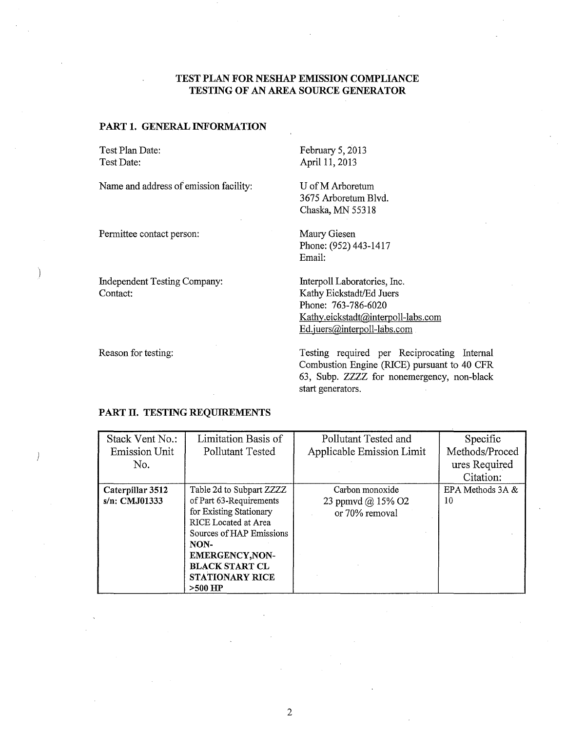#### **TEST PLAN FOR NESHAP EMISSION COMPLIANCE TESTING OF AN AREA SOURCE GENERATOR**

#### **PART 1. GENERAL INFORMATION**

Test Plan Date: Test Date:

Name and address of emission facility:

April 11, 2013

February 5, 2013

U of M Arboretum 3675 Arboretum Blvd. Chaska, MN 55318

Permittee contact person:

Independent Testing Company: Contact:

Maury Giesen Phone: (952) 443-1417 Email:

Interpoll Laboratories, Inc. Kathy Eickstadt/Ed Juers Phone: 763-786-6020 Kathy.eickstadt@interpoll-labs.com Ed.juers@interpoll-Iabs.com

Reason for testing:

 $\overline{\phantom{a}}$ 

Testing required per Reciprocating Internal Combustion Engine (RICE) pursuant to 40 CFR 63, Subp. ZZZZ for nonemergency, non-black start generators.

#### **PART II. TESTING REQUIREMENTS**

| Stack Vent No.:      | Limitation Basis of         | Pollutant Tested and      | Specific         |
|----------------------|-----------------------------|---------------------------|------------------|
| <b>Emission Unit</b> | Pollutant Tested            | Applicable Emission Limit | Methods/Proced   |
| No.                  |                             |                           | ures Required    |
|                      |                             |                           | Citation:        |
| Caterpillar 3512     | Table 2d to Subpart ZZZZ    | Carbon monoxide           | EPA Methods 3A & |
| s/n: CMJ01333        | of Part 63-Requirements     | 23 ppmvd @ 15% O2         | 10               |
|                      | for Existing Stationary     | or 70% removal            |                  |
|                      | <b>RICE</b> Located at Area |                           |                  |
|                      | Sources of HAP Emissions    |                           |                  |
|                      | NON-                        |                           |                  |
|                      | <b>EMERGENCY, NON-</b>      |                           |                  |
|                      | <b>BLACK START CL</b>       |                           |                  |
|                      | STATIONARY RICE             |                           |                  |
|                      | $>500$ HP                   |                           |                  |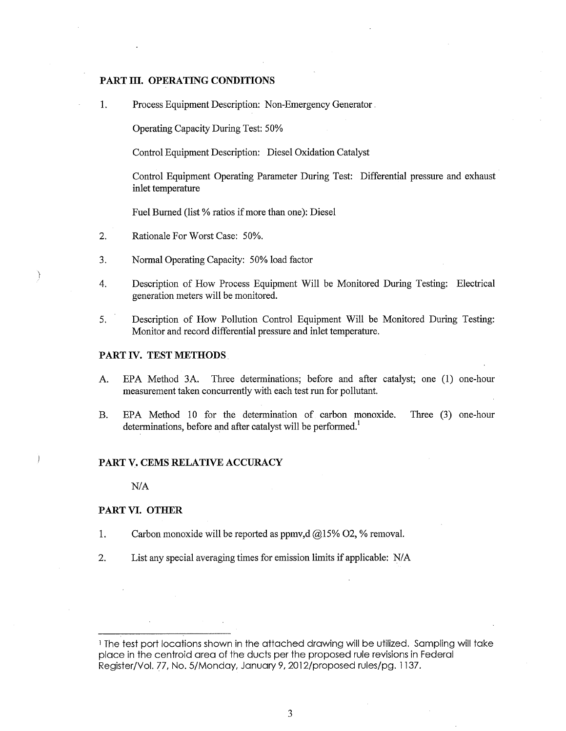#### PART III. OPERATING CONDITIONS

1. Process Equipment Description: Non-Emergency Generator .

Operating Capacity During Test: 50%

Control Equipment Description: Diesel Oxidation Catalyst

Control Equipment Operating Parameter During Test: Differential pressure and exhaust inlet temperature

Fuel Burned (list % ratios if more than one): Diesel

- 2. Rationale For Worst Case: 50%.
- 3. Normal Operating Capacity: 50% load factor
- 4. Description of How Process Equipment Will be Monitored During Testing: Electrical generation meters will be monitored.
- 5. Description of How Pollution Control Equipment Will be Monitored During Testing: Monitor and record differential pressure and inlet temperature.

#### **PART IV. TEST METHODS**

 $\big)$ 

- A. EPA Method 3A. Three determinations; before and after catalyst; one (1) one-hour measurement taken concurrently with each test run for pollutant.
- B. EPA Method 10 for the determination of carbon monoxide. Three (3) one-hour determinations, before and after catalyst will be performed.<sup>1</sup>

#### **PART V. CEMS RELATIVE ACCURACY**

NIA

#### **PART VI. OTHER**

- 1. Carbon monoxide will be reported as ppmv,d  $@15\%$  O2, % removal.
- 2. List any special averaging times for emission limits if applicable: N/A

<sup>1</sup> The test port locations shown in the attached drawing will be utilized. Sampling will take place in the centroid area of the ducts per the proposed rule revisions in Federal Register/Vol. 77, No. 5/Monday, January 9, 2012/proposed rules/pg. 1137.

3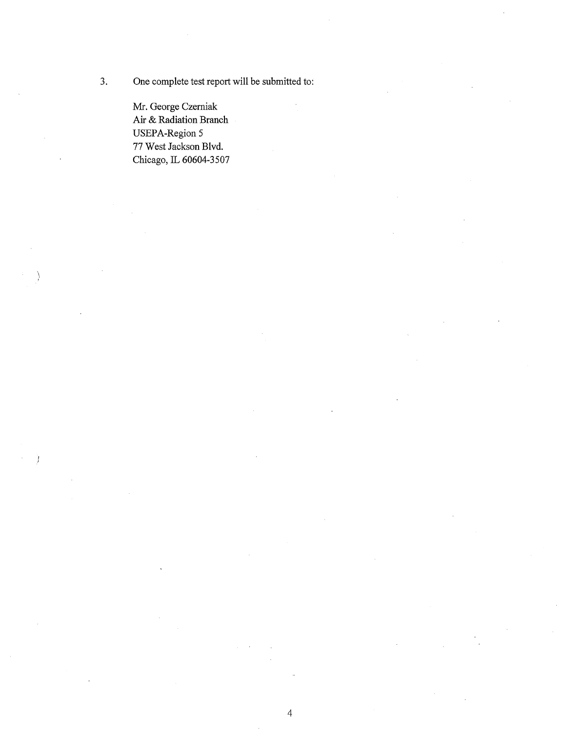3. One complete test report will be submitted to:

Mr. George Czerniak Air & Radiation Branch USEPA-Region 5 77 West Jackson Blvd. Chicago, IL 60604-3507

Ŋ

Ĵ.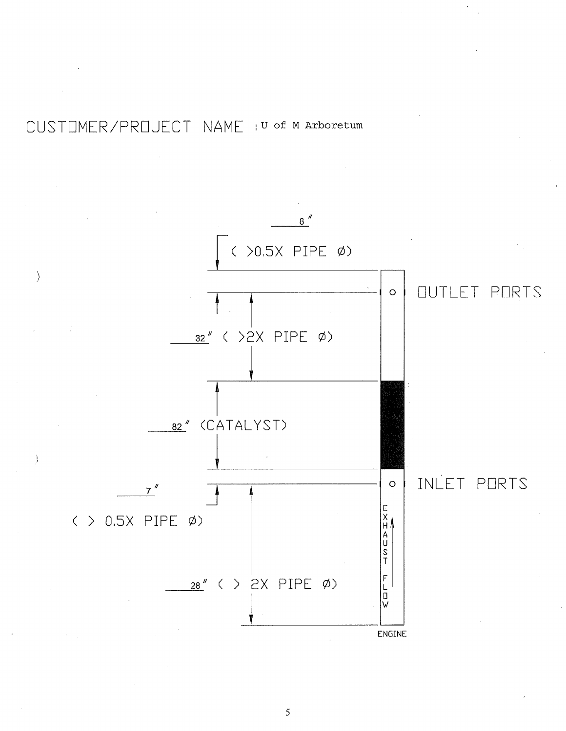# CUSTOMER/PROJECT NAME : U of M Arboretum



5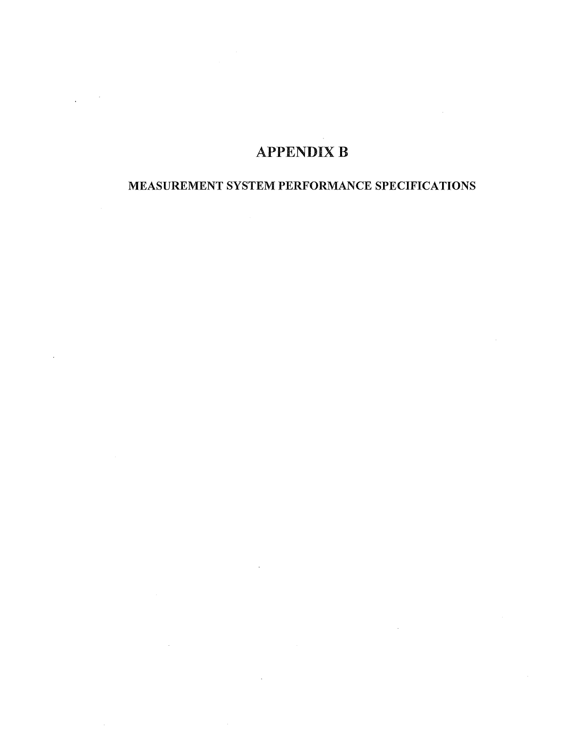# **APPENDIX B**

### MEASUREMENT SYSTEM PERFORMANCE SPECIFICATIONS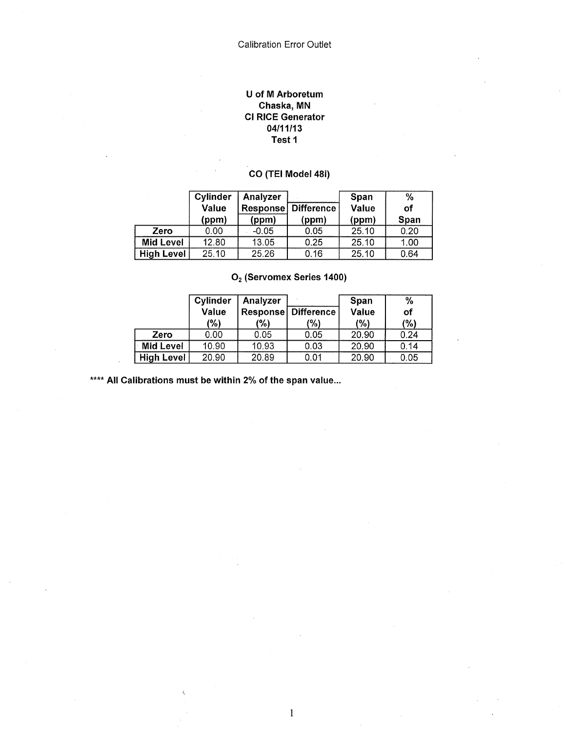#### U of M Arboretum Chaska, MN Cl RICE Generator 04/11/13 Test 1

### CO (TEI Model 48i)

|                   | Cylinder<br>Value<br>(ppm) | Analyzer<br>Response<br>(ppm) | Difference!<br>(ppm) | Span<br>Value<br>(ppm) | %<br>оf<br>Span |
|-------------------|----------------------------|-------------------------------|----------------------|------------------------|-----------------|
| Zero              | 0.00                       | $-0.05$                       | 0.05                 | 25.10                  | 0.20            |
| <b>Mid Level</b>  | 12.80                      | 13.05                         | 0.25                 | 25.10                  | 1.00            |
| <b>High Level</b> | 25.10                      | 25.26                         | 0.16                 | 25.10                  | 0.64            |

|                   | <b>Cylinder</b><br><b>Value</b><br>(%) | Analyzer<br>'%) | <b>Response Difference</b><br>(%) | Span<br>Value<br>(%) | %<br>of<br>$(\% )$ |
|-------------------|----------------------------------------|-----------------|-----------------------------------|----------------------|--------------------|
| Zero              | 0.00                                   | 0.05            | 0.05                              | 20.90                | 0.24               |
| Mid Level         | 10.90                                  | 10.93           | 0.03                              | 20.90                | 0.14               |
| <b>High Level</b> | 20.90                                  | 20.89           | 0.01                              | 20.90                | 0.05               |

O<sub>2</sub> (Servomex Series 1400)

\*\*\*\* All Calibrations must be within 2% of the span value...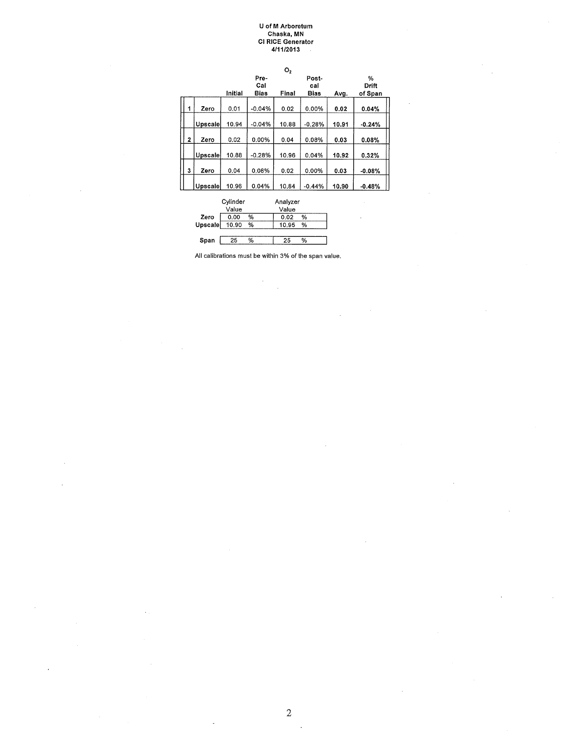#### U of M Arboretum Chaska, MN Cl RICE Generator 4/11/2013

|              |                |         |                     | O <sub>2</sub> |                             |       |                       |
|--------------|----------------|---------|---------------------|----------------|-----------------------------|-------|-----------------------|
|              |                | Initial | Pre-<br>Cal<br>Bias | Final          | Post-<br>cal<br><b>Bias</b> | Avg.  | %<br>Drift<br>of Span |
|              |                |         |                     |                |                             |       |                       |
| 1            | Zero           | 0.01    | $-0.04%$            | 0.02           | 0.00%                       | 0.02  | 0.04%                 |
|              | <b>Upscale</b> | 10.94   | $-0.04%$            | 10.88          | $-0.28%$                    | 10.91 | $-0.24%$              |
| $\mathbf{2}$ | Zero           | 0.02    | 0.00%               | 0.04           | 0.08%                       | 0.03  | 0.08%                 |
|              | Upscale        | 10.88   | $-0.28%$            | 10.96          | 0.04%                       | 10.92 | 0.32%                 |
| 3            | Zero           | 0.04    | 0.08%               | 0.02           | 0.00%                       | 0.03  | $-0.08%$              |
|              | Upscale        | 10.96   | 0.04%               | 10.84          | $-0.44%$                    | 10.90 | $-0.48%$              |

|         | Cylinder |   | Analyzer   |
|---------|----------|---|------------|
|         | Value    |   | Value      |
| Zero    | 0.00     | % | %<br>0.02  |
| Upscale | 10.90    | % | 10.95<br>% |
|         |          |   |            |
| Span    | 25       | % | ٥,<br>25   |
|         |          |   |            |



 $\ddot{\phantom{0}}$ ù.

2

 $\cdot$ 

 $\bar{\mathcal{A}}$ 

j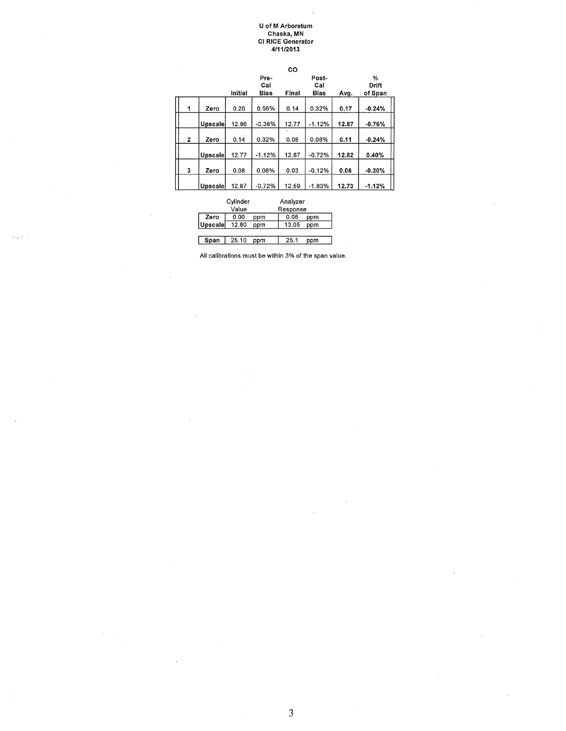#### U of M Arboretum Chaska, MN Cl RICE Generator 4/11/2013

| $\sim$ |   |                |         |          | CO    |             |       |          |
|--------|---|----------------|---------|----------|-------|-------------|-------|----------|
|        |   |                |         | Pre-     |       | Post-       |       | %        |
|        |   |                |         | Cal      |       | Cal         |       | Drift    |
|        |   |                | Initial | Bias     | Final | <b>Bias</b> | Avg.  | of Span  |
|        |   |                |         |          |       |             |       |          |
|        | 1 | Zero           | 0.20    | 0.56%    | 0.14  | 0.32%       | 0.17  | $-0.24%$ |
|        |   |                |         |          |       |             |       |          |
|        |   | Upscale        | 12.96   | $-0.36%$ | 12.77 | $-1.12%$    | 12.87 | $-0.76%$ |
|        |   |                |         |          |       |             |       |          |
|        | 2 | Zero           | 0.14    | 0.32%    | 0.08  | 0.08%       | 0.11  | $-0.24%$ |
|        |   |                |         |          |       |             |       |          |
|        |   | <b>Upscale</b> | 12.77   | $-1.12%$ | 12.87 | $-0.72%$    | 12.82 | 0.40%    |
|        |   |                |         |          |       |             |       |          |
|        | 3 | Zero           | 0.08    | 0.08%    | 0.03  | $-0.12%$    | 0.06  | $-0.20%$ |
|        |   |                |         |          |       |             |       |          |
|        |   | <b>Upscale</b> | 12.87   | $-0.72%$ | 12.59 | $-1.83%$    | 12.73 | $-1.12%$ |

|         | Cylinder |     | Analyzer |     |  |
|---------|----------|-----|----------|-----|--|
|         | Value    |     | Response |     |  |
| Zero    | 0.00     | ppm | 0.06     | ppm |  |
| Upscale | 12.80    | ppm | 13.05    | ppm |  |
|         |          |     |          |     |  |
| Span    | 25.10    | ppm | 25.1     | ppm |  |
|         |          |     |          |     |  |

a.

 $\bar{z}$ 

All calibrations must be within 3% of the span value.

 $\bar{z}$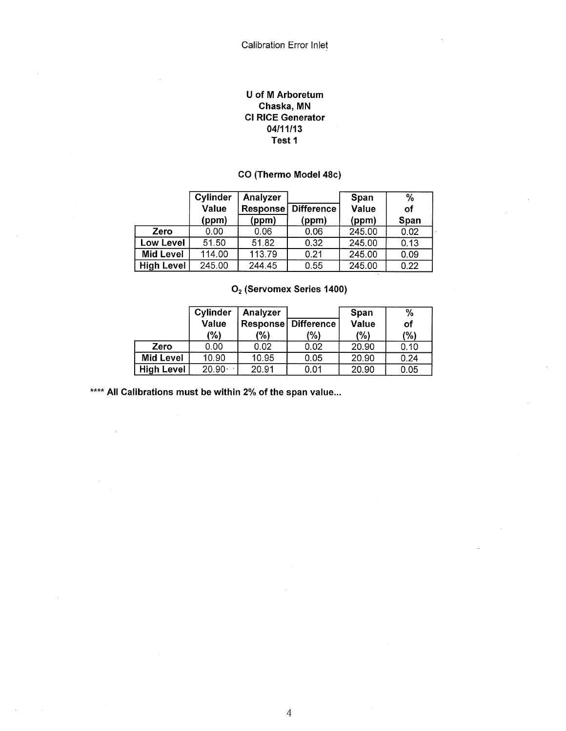#### U of M Arboretum Chaska, MN Cl RICE Generator 04/11/13 Test 1

### CO (Thermo Model 48c)

|                   | Cylinder     | Analyzer |            | Span   | $\%$ |
|-------------------|--------------|----------|------------|--------|------|
|                   | <b>Value</b> | Response | Difference | Value  | Οf   |
|                   | (ppm)        | (ppm)    | (ppm)      | (ppm)  | Span |
| Zero              | 0.00         | 0.06     | 0.06       | 245.00 | 0.02 |
| <b>Low Level</b>  | 51.50        | 51.82    | 0.32       | 245.00 | 0.13 |
| <b>Mid Level</b>  | 114.00       | 113.79   | 0.21       | 245.00 | 0.09 |
| <b>High Level</b> | 245.00       | 244.45   | 0.55       | 245.00 | 0.22 |

### O<sub>2</sub> (Servomex Series 1400)

|                   | Cylinder     | Analyzer |                            | <b>Span</b> | $\frac{0}{0}$ |
|-------------------|--------------|----------|----------------------------|-------------|---------------|
|                   | <b>Value</b> |          | <b>Response Difference</b> | Value       | of            |
|                   | (%)          | (%)      | (%)                        | (%)         | (%)           |
| Zero              | 0.00         | 0.02     | 0.02                       | 20.90       | 0.10          |
| <b>Mid Level</b>  | 10.90        | 10.95    | 0.05                       | 20.90       | 0.24          |
| <b>High Level</b> | $20.90 -$    | 20.91    | 0.01                       | 20.90       | 0.05          |

\*\*\*\* All Calibrations must be within 2% of the span value...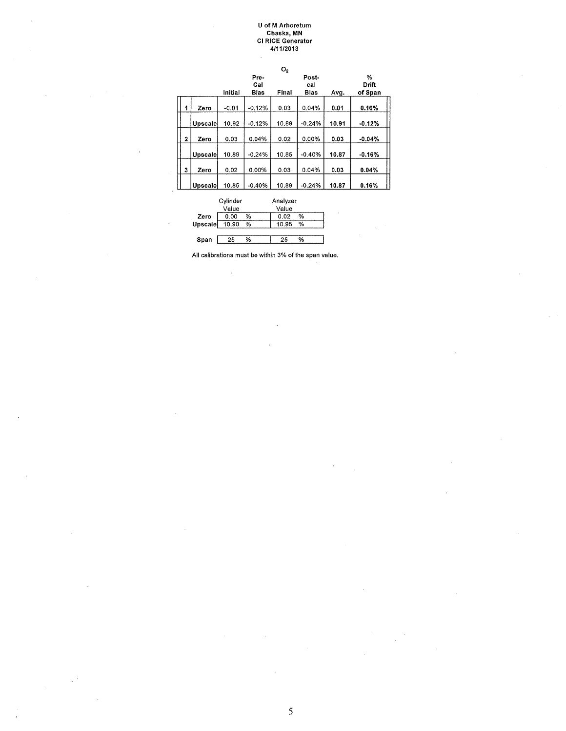#### U of M Arboretum Chaska, MN Cl RICE Generator 4/11/2013

|   |                |          |          | O <sub>2</sub> |          |       |          |  |
|---|----------------|----------|----------|----------------|----------|-------|----------|--|
|   |                |          | Pre-     |                | Post-    |       | %        |  |
|   |                |          | Cal      |                | cal      |       | Drift    |  |
|   |                | Initial  | Bias     | Final          | Bias     | Avg.  | of Span  |  |
|   |                |          |          |                |          |       |          |  |
| 1 | Zero           | $-0.01$  | $-0.12%$ | 0.03           | 0.04%    | 0.01  | 0.16%    |  |
|   |                |          |          |                |          |       |          |  |
|   | <b>Upscale</b> | 10.92    | $-0.12%$ | 10.89          | $-0.24%$ | 10.91 | $-0.12%$ |  |
|   |                |          |          |                |          |       |          |  |
| 2 | Zero           | 0.03     | 0.04%    | 0.02           | 0.00%    | 0.03  | $-0.04%$ |  |
|   |                |          |          |                |          |       |          |  |
|   | Upscale        | 10.89    | $-0.24%$ | 10.85          | $-0.40%$ | 10.87 | $-0.16%$ |  |
|   |                |          |          |                |          |       |          |  |
| 3 | Zero           | 0.02     | 0.00%    | 0.03           | 0.04%    | 0.03  | 0.04%    |  |
|   |                |          |          |                |          |       |          |  |
|   | Upscale        | 10.85    | $-0.40%$ | 10.89          | $-0.24%$ | 10.87 | 0.16%    |  |
|   |                |          |          |                |          |       |          |  |
|   |                | Cvlinder |          | Analyzer       |          |       |          |  |

|         | oymuci |   | <b>AUGIVE</b> |   |  |
|---------|--------|---|---------------|---|--|
|         | Value  |   | Value         |   |  |
| Zero    | 0.00   | % | 0.02          | % |  |
| Upscale | 10.90  | % | 10.95         | % |  |
|         |        |   |               |   |  |
| Span    | 25     | % | 25            | % |  |

All calibrations must be within 3% of the span value.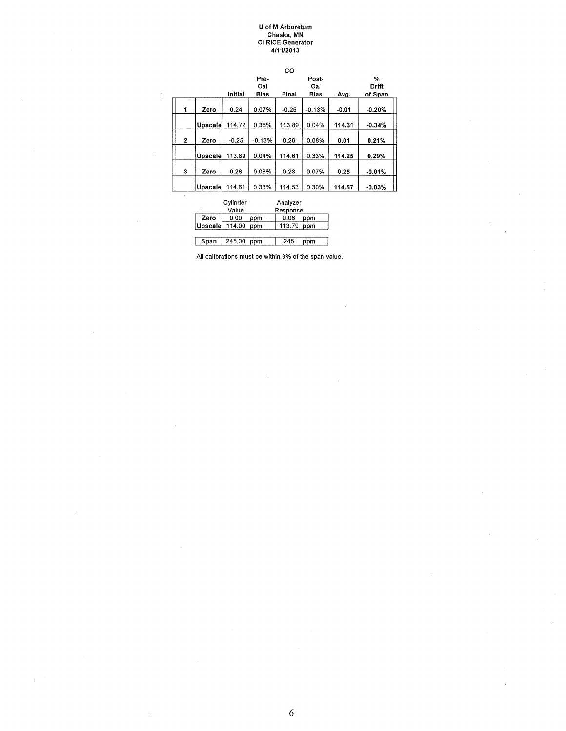#### U of M Arboretum Chaska, MN Cl RICE Generator 4/11/2013

|              |         |         |             | CO      |              |         |                   |
|--------------|---------|---------|-------------|---------|--------------|---------|-------------------|
|              |         |         | Pre-<br>Cal |         | Post-<br>Cal |         | %<br><b>Drift</b> |
|              |         | Initial | <b>Bias</b> | Final   | <b>Bias</b>  | Avg.    | of Span           |
| 1            | Zero    | 0.24    | 0.07%       | $-0.25$ | $-0.13%$     | $-0.01$ | $-0.20%$          |
|              | Upscale | 114.72  | 0.38%       | 113.89  | 0.04%        | 114.31  | $-0.34%$          |
| $\mathbf{2}$ | Zero    | $-0.25$ | $-0.13%$    | 0.26    | 0.08%        | 0.01    | 0.21%             |
|              | Upscale | 113.89  | 0.04%       | 114.61  | 0.33%        | 114.25  | 0.29%             |
| 3            | Zero    | 0.26    | 0.08%       | 0.23    | 0.07%        | 0.25    | $-0.01%$          |
|              | Upscale | 114.61  | 0.33%       | 114.53  | 0.30%        | 114.57  | $-0.03%$          |

|         | Cylinder |     | Analyzer |     |
|---------|----------|-----|----------|-----|
|         | Value    |     | Response |     |
| Zero    | 0.00     | ppm | 0.06     | ppm |
| Upscale | 114.00   | ppm | 113.79   | ppm |
|         |          |     |          |     |
| Span    | 245.00   | ppm | 245      | ppm |

ŀ,

All calibrations must be within 3% of the span value.

6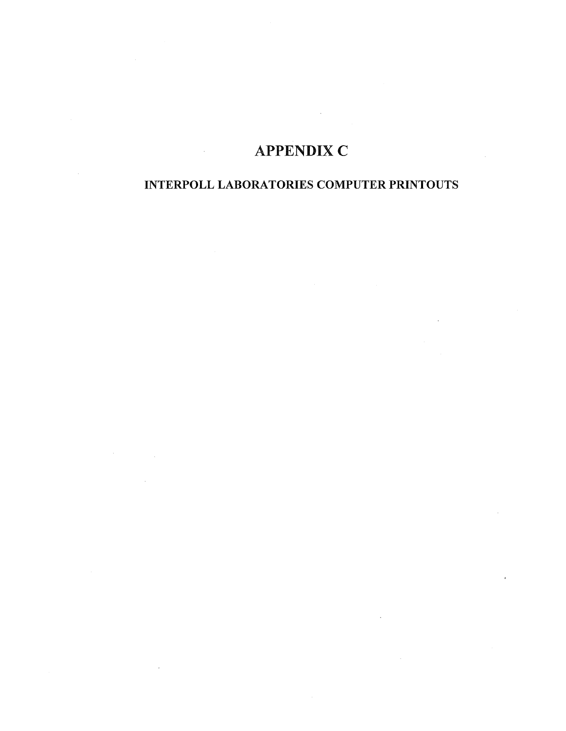# **APPENDIX C**

### INTERPOLL LABORATORIES COMPUTER PRINTOUTS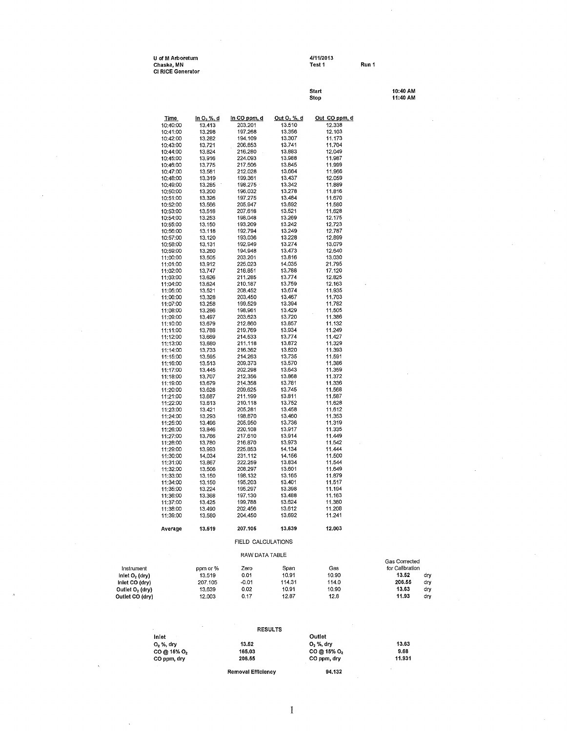| U of M Arboretum         | 4/11/2013 |       |
|--------------------------|-----------|-------|
| Chaska, MN               | Test 1    | Run 1 |
| <b>CI RICE Generator</b> |           |       |

**U of M Arboretum 4/11/2013** 

**Start 10:40AM Stop 11:40 AM <u>Time ln O, %, d**<br>
10:40:00 13.413 203.201 13.510 12.338<br>
10:41:00 13.298 197.268 13.356 12.103<br>
10:42:00 13.282 194.109 13.307 11.173</u> 10:40:00 13.413<br>10:41:00 13.413<br>10:42:00 13.298<br>10:42:00 13.282 10:41:00 13.298 197.268 13.356 12.103 10:42:00 13.282 194.109 13.307 11.173 10:43:00 13.721 206.853 13.741 11.704 10:44:00 13.824 216.280 13.883 12.049 10:45:00 13.916 224.093 13.988 11.987 10:46:00 13.775 217.506 13.845 11.999 10:47:00 13.581 212.028 13.664 11.966 199.361<br>198.275 10:49:00 13.285 198.275 13.342 11.889 10:50:00 13.200 196.032 13.278 11.816 10:51:00 13.326 197.275 13.484 11.670 10:52:00 13.566 205.947 13.692 11.580 10:53:00 13.518 207.618 13.521 11.628 10:54:00 13.253 198.048 13.269 12.175<br>10:55:00 13.150 193.209 13.242 12.723<br>10:56:00 13.118 192.794 13.249 12.787<br>10:57:00 13.120 193.036 13.228 12.899 10:55:00 13.150 193.209 13.242 12.723 10:56:00 13.118 192.794 13.249 12.787 10:57:00 13.120 193.036 13.228 12.899 10:58:00 13.131 192.949 13.274 13.079<br>10:59:00 13.260 194.948 13.473 12.640<br>11:00:00 13.505 203.201 13.816 13.030 104.948 13.473 12.640<br>203.201 13.816 13.030 11:00:00 13.505 203.201 13.816 13.030 11:01:00 13.912 225.023 14.035 21.795<br>11:02:00 13.747 218.851 13.788 17.120 11:02:00 13.747 218.851 13.788 17.120 11:03:00 13.626 211.285 13.774 12.825 11:04:00 13.624 210.187 13.759 12.163 11:05:00 13.521 208.452 13.674 11.935 11:06:00 13.328 203.450 13.467 11.703 11:07:00 13.258 199.529 13.394 11.782 11:08:00 13.286 198.961 13.429 11.505 11:09:00 13.497 203.623 13.720 11.386 11:10:00 13.679 212.860 13.857 11.132 11:11:00 13.788 219.769 13.934 11.249 11:12:00 13.669 214.533 13.774 11.427 11:13:00 13.680 211.118 13.872 11.329 11:14:00 13.733 216.362 13.820 11.393 11:15:00 13.595 214.263 13.735 11.591 11:16:00 13.513 209.373 13.570 11.386 11:17:00 13.445 202.298 13.643 11.359 11:18:00 13.707 212.356 13.868 11.372 11:19:00 13.679 214.358 13.781 11.336 11:20:00 13.628 209.625 13.745 11.568 11:21:00 13.687 211.199 13.811 11.587 11:22:00 13.613 210.118 13.752 11.628 11:23:00 13.421 205.281 13.458 11.612 11:24:00 13.293 198.870 13.460 11.353 11:25:00 13.496 205.950 13.736 11.319 11:26:00 13.846 220.108 13.917 11.335 11:27:00 13.766 217.610 13.914 11.449 11:28:00 13.780 216.870 13.973 11.542 11:29:00 13.993 225.853 14.134 11.444 11:30:00 14.034 231.112 14.156 11.500 11:31:00 13.867 222.259 13.834 11.544 11:32:00 13.506 208.297 13.601 11.649 11:33:00 13.150 198.132 13.165 11.879 11:34:00 13.150 195.203 13.401 11.517 11:35:00 13.224 195.297 13.398 11.194 11:36:00 13.368 197.130 13.488 11.163 11:37:00 13.425 199.788 13.624 11.380 11:38:00 13.490 202.456 13.612 11.208 11:39:00 13.580 204.450 13.692 11.241 **Average 13.519 207.105 13.639 12.003**  FIELD CALCULATIONS RAW DATA TABLE

|                             | 11:02:00 | 13.747   | 218.851            | 13,788 | 17.120 |                 |     |
|-----------------------------|----------|----------|--------------------|--------|--------|-----------------|-----|
|                             | 11:03:00 | 13.626   | 211.285            | 13.774 | 12.825 |                 |     |
|                             | 11:04:00 | 13,624   | 210.187            | 13.759 | 12.163 |                 |     |
|                             | 11:05:00 | 13.521   | 208.452            | 13.674 | 11.935 |                 |     |
|                             | 11:06:00 | 13.328   | 203.450            | 13.467 | 11.703 |                 |     |
|                             | 11:07:00 | 13.258   | 199.529            | 13.394 | 11.782 |                 |     |
|                             | 11:08:00 | 13.286   | 198,961            | 13.429 | 11.505 |                 |     |
|                             | 11:09:00 | 13.497   | 203,623            | 13.720 | 11.386 |                 |     |
|                             | 11:10:00 | 13.679   | 212,860            | 13.857 | 11.132 |                 |     |
|                             | 11:11:00 | 13.788   | 219.769            | 13.934 | 11.249 |                 |     |
|                             | 11:12:00 | 13.669   | 214.533            | 13.774 | 11.427 |                 |     |
|                             | 11:13:00 | 13,680   | 211.118            | 13.872 | 11.329 |                 |     |
|                             | 11:14:00 | 13,733   | 216.362            | 13.820 | 11.393 |                 |     |
|                             | 11:15:00 | 13,595   | 214.263            | 13.735 | 11.591 |                 |     |
|                             | 11:16:00 | 13.513   | 209.373            | 13.570 | 11.386 |                 |     |
|                             | 11:17:00 | 13.445   | 202.298            | 13.643 | 11.359 |                 |     |
|                             | 11:18:00 | 13.707   | 212,356            | 13.868 | 11.372 |                 |     |
|                             |          |          |                    | 13.781 |        |                 |     |
|                             | 11:19:00 | 13.679   | 214,358            |        | 11,336 |                 |     |
|                             | 11:20:00 | 13.628   | 209,625            | 13.745 | 11,568 |                 |     |
|                             | 11:21:00 | 13.687   | 211.199            | 13.811 | 11.587 |                 |     |
|                             | 11:22:00 | 13.613   | 210.118            | 13.752 | 11.628 |                 |     |
|                             | 11:23:00 | 13.421   | 205,281            | 13.458 | 11.612 |                 |     |
|                             | 11:24:00 | 13.293   | 198,870            | 13.460 | 11.353 |                 |     |
|                             | 11:25:00 | 13.496   | 205,950            | 13.736 | 11.319 |                 |     |
|                             | 11:26:00 | 13,846   | 220.108            | 13.917 | 11.335 |                 |     |
|                             | 11:27:00 | 13,766   | 217.610            | 13.914 | 11.449 |                 |     |
|                             | 11:28:00 | 13.780   | 216.870            | 13.973 | 11.542 |                 |     |
|                             | 11:29:00 | 13.993   | 225.853            | 14.134 | 11.444 |                 |     |
|                             | 11:30:00 | 14.034   | 231.112            | 14.156 | 11.500 |                 |     |
|                             | 11:31:00 | 13,867   | 222.259            | 13.834 | 11.544 |                 |     |
|                             | 11:32:00 | 13.506   | 208.297            | 13.601 | 11.649 |                 |     |
|                             | 11:33:00 | 13.150   | 198.132            | 13.165 | 11.879 |                 |     |
|                             | 11:34:00 | 13.150   | 195,203            | 13.401 | 11.517 |                 |     |
|                             | 11:35:00 | 13.224   | 195.297            | 13.398 | 11.194 |                 |     |
|                             | 11:36:00 | 13.368   | 197.130            | 13.488 | 11.163 |                 |     |
|                             | 11:37:00 | 13.425   | 199.788            | 13.624 | 11,380 |                 |     |
|                             | 11:38:00 | 13.490   | 202.456            | 13.612 | 11.208 |                 |     |
|                             | 11:39:00 | 13.580   | 204.450            | 13,692 | 11.241 |                 |     |
|                             | Average  | 13.519   | 207.105            | 13,639 | 12.003 |                 |     |
|                             |          |          | FIELD CALCULATIONS |        |        |                 |     |
|                             |          |          | RAW DATA TABLE     |        |        |                 |     |
|                             |          |          |                    |        |        | Gas Corrected   |     |
| Instrument                  |          | ppm or % | Zero               | Span   | Gas    | for Calibration |     |
| Inlet $O2$ (dry)            |          | 13.519   | 0.01               | 10.91  | 10.90  | 13.52           | dry |
| Inlet CO (dry)              |          | 207.105  | $-0.01$            | 114.31 | 114.0  | 206.55          | dry |
| Outlet O <sub>2</sub> (dry) |          | 13,639   | 0.02               | 10.91  | 10,90  | 13,63           | dry |
|                             |          | 12.003   | 0.17               | 12.87  | 12.8   | 11.93           | dry |
| Outlet CO (dry)             |          |          |                    |        |        |                 |     |
|                             |          |          |                    |        |        |                 |     |

|                         | <b>RESULTS</b>            |             |        |
|-------------------------|---------------------------|-------------|--------|
| Inlet                   |                           | Outlet      |        |
| 0, %, dry               | 13.52                     | $O2$ %, dry | 13.63  |
| CO @ 15% O <sub>2</sub> | 165.03                    | CO @ 15% O2 | 9.68   |
| CO ppm, dry             | 206.55                    | CO ppm, dry | 11.931 |
|                         | <b>Removal Efficiency</b> | 94.132      |        |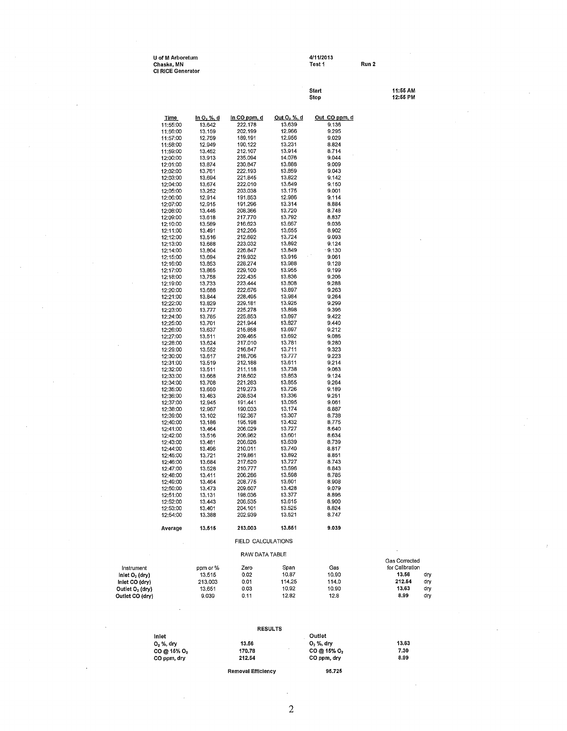| U of M Arboretum  | 4/11/2013 |       |
|-------------------|-----------|-------|
| Chaska. MN        | Test 1    | Run 2 |
| CI RICE Generator |           |       |

**Start 11:55 AM Stop 12:55 PM** 

|                                               | <b>Time</b>          | <u>In O, %, d</u> | in CO ppm, d       | <u>Out O<sub>2</sub> %, d</u> | Out CO ppm, d  |                      |            |
|-----------------------------------------------|----------------------|-------------------|--------------------|-------------------------------|----------------|----------------------|------------|
|                                               | 11:55:00             | 13.642            | 222.178            | 13.639                        | 9.136          |                      |            |
|                                               | 11:56:00             | 13.159            | 202.199            | 12.966                        | 9.295          |                      |            |
|                                               | 11:57:00             | 12.759<br>12.949  | 189,191<br>190.122 | 12.956<br>13.231              | 9.029<br>8.824 |                      |            |
|                                               | 11:58:00<br>11:59:00 | 13.452            | 212.107            | 13.914                        | 8.714          |                      |            |
|                                               | 12:00:00             | 13.913            | 235.094            | 14.076                        | 9.044          |                      |            |
|                                               | 12:01:00             | 13.874            | 230.847            | 13.888                        | 9.009          |                      |            |
|                                               | 12:02:00             | 13.761            | 222.193            | 13.859                        | 9.043          |                      |            |
|                                               | 12:03:00             | 13,694            | 221.845            | 13.822                        | 9.142          |                      |            |
|                                               | 12:04:00             | 13.674            | 222.010            | 13.649                        | 9.150          |                      |            |
|                                               | 12:05:00<br>12:06:00 | 13.252<br>12.914  | 203.038<br>191.853 | 13.175<br>12.986              | 9.001<br>9.114 |                      |            |
|                                               | 12:07:00             | 12.915            | 191.296            | 13.314                        | 8.884          |                      |            |
|                                               | 12:08:00             | 13.446            | 208.366            | 13.720                        | 8.748          |                      |            |
|                                               | 12:09:00             | 13.618            | 217.770            | 13.792                        | 8,837          |                      |            |
|                                               | 12:10:00             | 13.589            | 216,623            | 13.667                        | 9,036          |                      |            |
|                                               | 12:11:00             | 13.491            | 212,206            | 13.655                        | 8.902          |                      |            |
|                                               | 12:12:00<br>12:13:00 | 13.516<br>13.688  | 212.692<br>223.032 | 13.724<br>13,892              | 9.093<br>9.124 |                      |            |
|                                               | 12:14:00             | 13.804            | 226.847            | 13.849                        | .9.130         |                      |            |
|                                               | 12:15:00             | 13.694            | 219.932            | 13.916                        | 9.061          |                      |            |
|                                               | 12:16:00             | 13.853            | 228.274            | 13.988                        | 9.128          |                      |            |
|                                               | 12:17:00             | 13.865            | 229.100            | 13.955                        | 9,199          |                      |            |
|                                               | 12:18:00             | 13.758            | 222.435            | 13.836                        | 9,206          |                      |            |
|                                               | 12:19:00<br>12:20:00 | 13.733<br>13.688  | 223.444<br>222.676 | 13.808<br>13.897              | 9,288<br>9.263 |                      |            |
|                                               | 12:21:00             | 13.844            | 228,495            | 13.984                        | 9.264          |                      |            |
|                                               | 12:22:00             | 13.829            | 229,181            | 13.925                        | 9.299          |                      |            |
|                                               | 12:23:00             | 13.777            | 225.278            | 13.898                        | 9.396          |                      |            |
|                                               | 12:24:00             | 13.785            | 225.853            | 13.897                        | 9.422          |                      |            |
|                                               | 12:25:00             | 13.701            | 221.944            | 13.827                        | 9.440          |                      |            |
|                                               | 12:26:00<br>12:27:00 | 13,637<br>13,511  | 215.858<br>209.465 | 13.697<br>13.692              | 9.212<br>9.086 |                      |            |
|                                               | 12:28:00             | 13.624            | 217.010            | 13.781                        | 9.280          |                      |            |
|                                               | 12:29:00             | 13.552            | 216,847            | 13.711                        | 9,323          |                      |            |
|                                               | 12:30:00             | 13.617            | 218,706            | 13.777                        | 9,223          |                      |            |
|                                               | 12:31:00             | 13.519            | 212.188            | 13.611                        | 9.214          |                      |            |
|                                               | 12:32:00             | 13.511            | 211.118            | 13.738<br>13,853              | 9.063<br>9.124 |                      |            |
|                                               | 12:33:00<br>12:34:00 | 13.668<br>13.708  | 218,602<br>221.283 | 13.855                        | 9.264          |                      |            |
|                                               | 12:35:00             | 13.650            | 219,273            | 13.726                        | 9.189          |                      |            |
|                                               | 12:36:00             | 13.463            | 208.534            | 13.336                        | 9.251          |                      |            |
|                                               | 12:37:00             | 12.945            | 191.441            | 13,095                        | 9.061          |                      |            |
|                                               | 12:38:00             | 12.967            | 190.033            | 13.174                        | 8,887          |                      |            |
|                                               | 12:39:00<br>12:40:00 | 13.102<br>13.186  | 192.367<br>195.198 | 13.307<br>13.432              | 8.738<br>8.775 |                      |            |
|                                               | 12:41:00             | 13.464            | 206.029            | 13.727                        | 8.640          |                      |            |
|                                               | 12:42:00             | 13.516            | 206.962            | 13.601                        | 8,634          |                      |            |
|                                               | 12:43:00             | 13.481            | 206,626            | 13.639                        | 8,739          |                      |            |
|                                               | 12:44:00             | 13,496            | 210.011            | 13.740                        | 8.817          |                      |            |
|                                               | 12:45:00             | 13,721            | 219,861            | 13.892<br>13.727              | 8.851<br>8.743 |                      |            |
|                                               | 12:46:00<br>12:47:00 | 13.684<br>13.528  | 217.620<br>210.777 | 13,596                        | 8.843          |                      |            |
|                                               | 12:48:00             | 13.411            | 206.286            | 13.598                        | 8.785          |                      |            |
|                                               | 12:49:00             | 13.464            | 208.775            | 13.601                        | 8,908          |                      |            |
|                                               | 12:50:00             | 13.473            | 209.607            | 13428                         | 9.079          |                      |            |
|                                               | 12:51:00             | 13.131            | 198.036            | 13.377                        | 8.896          |                      |            |
|                                               | 12:52:00             | 13,443            | 206.535<br>204.101 | 13.615                        | 8,900<br>8,824 |                      |            |
|                                               | 12:53:00<br>12:54:00 | 13.401<br>13,388  | 202.939            | 13.525<br>13.521              | 8.747          |                      |            |
|                                               |                      |                   |                    |                               |                |                      |            |
|                                               | Average              | 13.515            | 213,003            | 13.651                        | 9.039          |                      |            |
|                                               |                      |                   | FIELD CALCULATIONS |                               |                |                      |            |
|                                               |                      |                   | RAW DATA TABLE     |                               |                | <b>Gas Corrected</b> |            |
| Instrument                                    |                      | ppm or %          | Zero               | Span                          | Gas            | for Calibration      |            |
| Inlet $O2$ (dry)                              |                      | 13.515            | 0.02               | 10.87                         | 10.90          | 13,56<br>212.54      | dry        |
| Inlet CO (dry)<br>Outlet O <sub>2</sub> (dry) |                      | 213,003<br>13.651 | 0.01<br>0.03       | 114.25<br>10.92               | 114.0<br>10.90 | 13.63                | dry<br>dry |
| Outlet CO (dry)                               |                      | 9.039             | 0.11               | 12.82                         | 12.8           | 8,99                 | dry        |

| $\bullet$   |                |                         |       |
|-------------|----------------|-------------------------|-------|
|             |                |                         |       |
|             | <b>RESULTS</b> |                         |       |
| Inlet       |                | Outlet                  |       |
| 0, %, dry   | 13.56          | $O2$ %, dry             | 13.63 |
| CO @ 15% O2 | 170.78         | CO @ 15% O <sub>2</sub> | 7.30  |

**Removal Efficiency 95.725** 

**CO ppm, dry 212.54 CO ppm, dry 8.99** 

2

 $\overline{\phantom{a}}$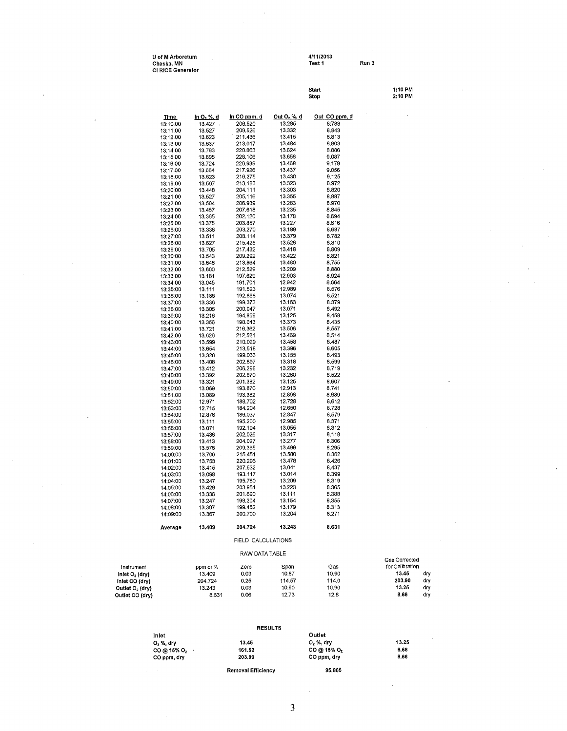| U of M Arboretum  | 4/11/2013 |       |
|-------------------|-----------|-------|
| Chaska, MN        | Test 1    | Run 3 |
| CI RICE Generator |           |       |

l,

|                             |                      |                              |                    |                              | start<br>Stop  | 1:10 PM<br>2:10 PM |
|-----------------------------|----------------------|------------------------------|--------------------|------------------------------|----------------|--------------------|
|                             | <u>Time</u>          | <u>In O<sub>2</sub> %, d</u> | in CO ppm, d       | <u>Out O<sub>2</sub> % d</u> | Out CO ppm, d  |                    |
|                             | 13:10:00             | $13.427$ .                   | 206,520            | 13.285                       | 8:788          |                    |
|                             | 13:11:00             | 13.527                       | 209,526            | 13.332                       | 8.843          |                    |
|                             | 13:12:00             | 13.623                       | 211.436            | 13.415                       | 8.813          |                    |
|                             | 13:13:00             | 13.637                       | 213.017            | 13,484                       | 8.803          |                    |
|                             | 13:14:00<br>13:15:00 | 13.783<br>13.895             | 220.863<br>228.106 | 13,624<br>13,656             | 8.886<br>9.087 |                    |
|                             | 13:16:00             | 13.724                       | 220.939            | 13.468                       | 9.179          |                    |
|                             | 13:17:00             | 13.664                       | 217.926            | 13.437                       | 9.056          |                    |
|                             | 13:18:00             | 13.623                       | 216.275            | 13.430                       | 9.125          |                    |
|                             | 13:19:00             | 13.567                       | 213.183            | 13.323                       | 8.972          |                    |
|                             | 13:20:00             | 13,448                       | 204.111            | 13.303                       | 8.820          |                    |
|                             | 13:21:00             | 13,527                       | 205.116            | 13.355                       | 8,887          |                    |
|                             | 13:22:00             | 13.504                       | 206,939<br>207,618 | 13.283<br>13.235             | 8,970<br>8.845 |                    |
|                             | 13:23:00<br>13:24:00 | 13,457<br>13,365             | 202.120            | 13.178                       | 8.694          |                    |
|                             | 13:25:00             | 13.375                       | 203.857            | 13.227                       | 8.616          |                    |
|                             | 13:26:00             | 13.336                       | 203.270            | 13.189                       | 8.687          |                    |
|                             | 13:27:00             | 13.511                       | 208.114            | 13.379                       | 8.782          |                    |
|                             | 13:28:00             | 13.627                       | 215.428            | 13.526                       | 8.810          |                    |
|                             | 13:29:00             | 13.705                       | 217.432            | 13.418                       | 8,809          |                    |
|                             | 13:30:00             | 13.543                       | 209.292            | 13.422                       | 8,821          |                    |
|                             | 13:31:00<br>13:32:00 | 13,646<br>13,600             | 213.864<br>212.529 | 13,480<br>13.209             | 8,755<br>8,880 |                    |
|                             | 13:33:00             | 13.181                       | 197.629            | 12.903                       | 8.924          |                    |
|                             | 13:34:00             | 13.045                       | 191.701            | 12.942                       | 8.664          |                    |
|                             | 13:35:00             | 13.111                       | 191.523            | 12.989                       | 8.576          |                    |
|                             | 13:36:00             | 13.186                       | 192.868            | 13.074                       | 8.521          |                    |
|                             | 13:37:00             | 13.336                       | 199.373            | 13,163                       | 8.379          |                    |
|                             | 13:38:00             | 13.305                       | 200.047            | 13,071                       | 8.492          |                    |
|                             | 13:39:00             | 13.216                       | 194.859            | 13.125                       | 8.458<br>8.435 |                    |
|                             | 13:40:00<br>13:41:00 | 13.356<br>13.721             | 198.043<br>216.362 | 13.373<br>13.506             | 8.557          |                    |
|                             | 13:42:00             | 13.626                       | 212.521            | 13.469                       | 8.514          |                    |
|                             | 13:43:00             | 13.599                       | 210.029            | 13458                        | 8.487          |                    |
|                             | 13:44:00             | 13,654                       | 213,518            | 13.396                       | 8.605          |                    |
|                             | 13:45:00             | 13,328                       | 199.033            | 13.155                       | 8.493          |                    |
|                             | 13:46:00             | 13.408                       | 202.697            | 13.318                       | 8.599          |                    |
|                             | 13:47:00             | 13.412                       | 206.298            | 13.232                       | 8.719          |                    |
|                             | 13:48:00             | 13.392                       | 202,870<br>201.382 | 13.260<br>13.125             | 8.522<br>8.607 |                    |
|                             | 13:49:00<br>13:50:00 | 13.321<br>13.069             | 193.870            | 12.913                       | 8.741          |                    |
|                             | 13:51:00             | 13.089                       | 193.382            | 12,898                       | 8.689          |                    |
|                             | 13.52:00             | 12.971                       | 188.702            | 12.728                       | 8.612          |                    |
|                             | 13:53:00             | 12.715                       | 184.204            | 12.650                       | 8.728          |                    |
|                             | 13:54:00             | 12.876                       | 186.037            | 12.847                       | 8,579          |                    |
|                             | 13:55:00             | 13.111                       | 195.200            | 12.985                       | 8.371          |                    |
|                             | 13:56:00             | 13.071                       | 192.194            | 13.055                       | 8,312          |                    |
|                             | 13:57:00             | 13,436<br>13.413             | 202.026<br>204.027 | 13.317<br>13.277             | 8.118<br>8.306 |                    |
|                             | 13:58:00<br>13:59:00 | 13.576                       | 209,365            | 13.499                       | 8.295          |                    |
|                             | 14:00:00             | 13,706                       | 215.451            | 13.580                       | 8.362          |                    |
|                             | 14:01:00             | 13,753                       | 220,296            | 13.478                       | 8.426          |                    |
|                             | 14:02:00             | 13.415                       | 207.532            | 13.041                       | 8.437          |                    |
|                             | 14:03:00             | 13.098                       | 193.117            | 13.014                       | 8,399          |                    |
|                             | 14:04:00             | 13.247                       | 195.780            | 13.209                       | 8.319          |                    |
|                             | 14:05:00             | 13.429                       | 203.951            | 13.223                       | 8.365          |                    |
|                             | 14:06:00<br>14:07:00 | 13.336<br>13.247             | 201.690<br>198.204 | 13.111<br>13.154             | 8,388<br>8.355 |                    |
|                             | 14:08:00             | 13.307                       | 199.452            | 13.179                       | 8.313          |                    |
|                             | 14:09:00             | 13,367                       | 200.700            | 13.204                       | 8.271          |                    |
|                             | Average              | 13,409                       | 204.724            | 13.243                       | 8.631          |                    |
|                             |                      |                              | FIELD CALCULATIONS |                              |                |                    |
|                             |                      |                              | RAW DATA TABLE     |                              |                | Gas Corrected      |
| Instrument                  |                      | ppm or %                     | Zero               | Span                         | Gas            | for Calibration    |
| Inlet $O2$ (dry)            |                      | 13.409                       | 0.03               | 10.87                        | 10.90          | 13.45<br>dry       |
| inlet CO (dry)              |                      | 204.724                      | 0.25               | 114.57                       | 114.0          | 203.90<br>dry      |
| Outlet O <sub>2</sub> (dry) |                      | 13.243                       | 0.03               | 10.90                        | 10.90          | 13.25<br>dry       |
| Outlet CO (dry)             |                      | 8.631                        | 0.06               | 12.73                        | 12.8           | 8,66<br>dry        |

|             | <b>RESULTS</b>            |                         |       |
|-------------|---------------------------|-------------------------|-------|
| Inlet       |                           | Outlet                  |       |
| 0, %, dry   | 13.45                     | $O2$ %, drv             | 13.25 |
| CO @ 15% O2 | 161.52                    | CO @ 15% O <sub>2</sub> | 6.68  |
| CO ppm, dry | 203,90                    | CO ppm, dry             | 8.66  |
|             | <b>Removal Efficiency</b> | 96.865                  |       |

 $\cdot$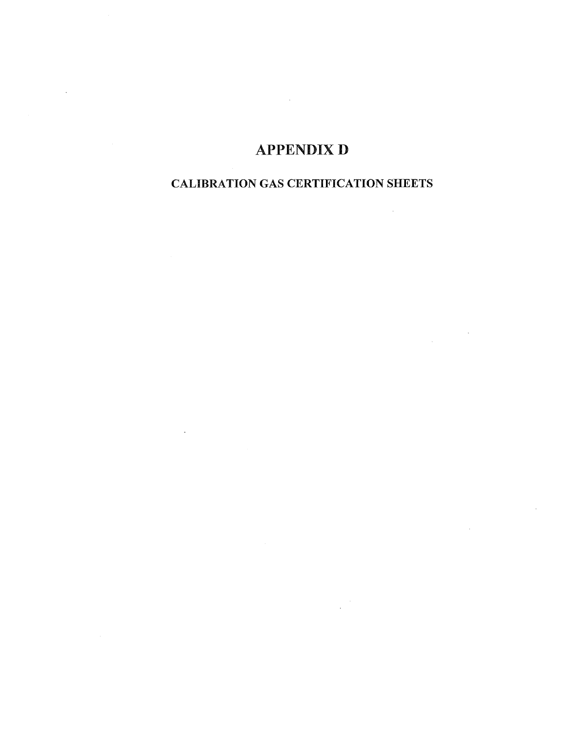# **APPENDIX D**

 $\sim 10^{-10}$ 

### CALIBRATION GAS CERTIFICATION SHEETS

 $\mathcal{L}^{\mathcal{L}}(\mathcal{L}^{\mathcal{L}})$  and  $\mathcal{L}^{\mathcal{L}}(\mathcal{L}^{\mathcal{L}})$  and  $\mathcal{L}^{\mathcal{L}}(\mathcal{L}^{\mathcal{L}})$ 

 $\sim$   $\sim$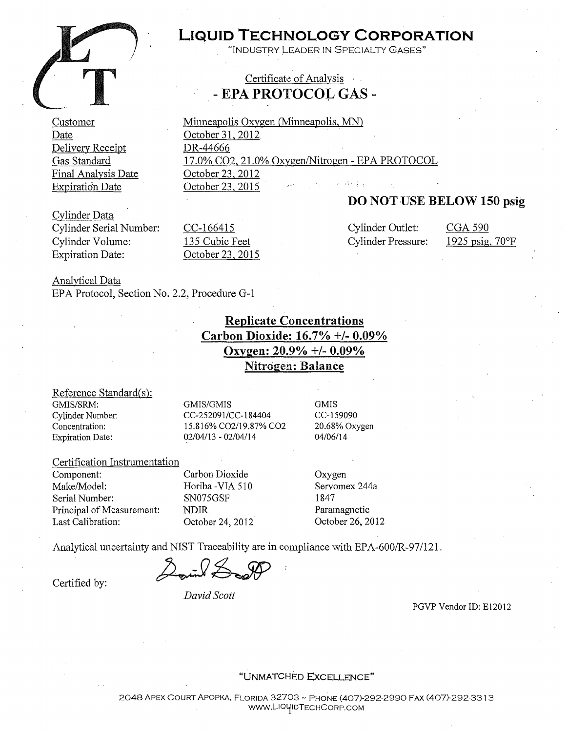

Customer Date

Delivery Receipt Gas Standard

Final Analysis Date Expiration Date

# **LIQUID TECHNOLOGY CORPORATION**

INDUSTRY LEADER IN SPECIALTY GASES"

### Certificate of Analysis - **EPA PROTOCOL GAS** -

Minneapolis Oxygen (Minneapolis, MN) October 31, 2012 DR-44666 17.0% C02, 21.0% Oxxgen/Nitrogen - EPA PROTOCOL October 23, 2012 October 23, 2015

### **DO NOT USE BELOW 150 psig**

Cylinder Data Cylinder Serial Number: Cylinder Volume: Expiration Date:

CC-166415 135 Cubic Feet October 23, 2015 Cylinder Outlet: Cylinder Pressure:

CGA 590 1925 psig, 70°F

Analytical Data EPA Protocol, Section No. 2.2, Procedure G-1

> **Replicate Concentrations Carbon Dioxide: 16.7°/o** +/- **0.09o/o Oxygen: 20.9%** +/- **0.09°/o Nitrogen: Balance**

#### Reference Standard(s): GMIS/SRM:

CyUnder Number: Concentration: Expiration Date:

GMIS/GMIS CC-252091/CC-184404 15.816% C02/19.87% C02 02/04/13 - 02/04/14

GMIS CC-159090 20.68% Oxygen 04/06/14

#### Certification Instrumentation

Component: Make/Model: Serial Number: Principal of Measurement: Last Calibration:

Carbon Dioxide Horiba -VIA 510 SN075GSF NDIR October 24, 2012 Oxygen Servomex 244a 1847 Paramagnetic October 26, 2012

Analytical uncertainty and NIST Traceability are in compliance with EPA-600/R-97/121.<br>Certified by:

*David Scott* 

PGVP Vendor ID: El2012

"UNMATCHED EXCELLENCE"

2048 APEX COURT APOPKA, FLORIDA 32703 - PHONE (407)-292-2990 FAX (407)-292-331 3 WWW.LIQUIDTECHCORP.COM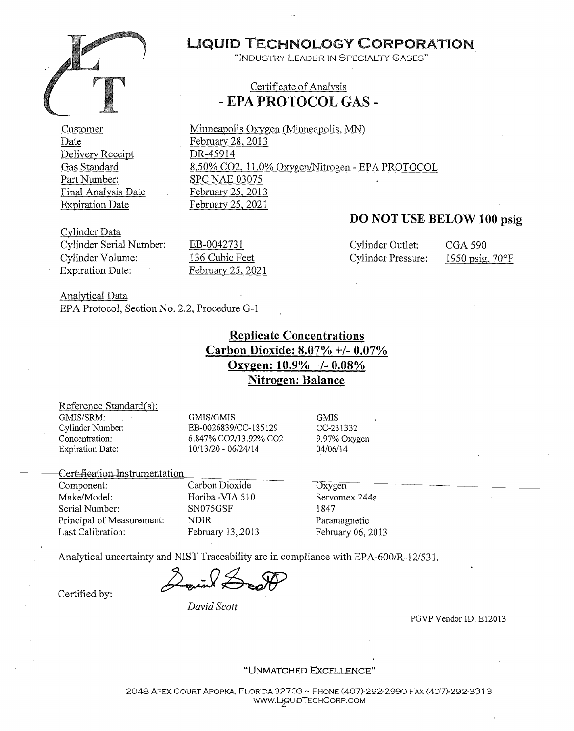

Customer Date Delivery Receipt Gas Standard Part Number: Final Analysis Date Expiration Date

## LIQUID TECHNOLOGY CORPORATION

"INDUSTRY LEADER IN SPECIALTY GASES"

### Certificate of Analysis - **EPA PROTOCOL GAS** -

Minneapolis Oxygen (Minneapolis, MN) February 28, 2013 DR-45914 8.50% C02, 11.0% Oxygen/Nitrogen - EPA PROTOCOL SPC NAE 03075 February 25, 2013 February 25, 2021

### **DO NOT USE BELOW 100 psig**

Cylinder Data Cylinder Serial Number: Cylinder Volume: Expiration Date:

EB-0042731 136 Cubic Feet February 25, 2021 Cylinder Outlet: CGA 590 Cylinder Pressure: 1950 psig, 70°F

Analytical Data EPA Protocol, Section No. 2.2, Procedure G-1

> **Replicate Concentrations Carbon Dioxide: 8.07%** +/- **0.07°/o Oxygen: 10.9%** +/- **0.08% Nitrogen: Balance**

Reference Standard(s): GMIS/SRM: Cylinder Number: Concentration: Expiration Date:

GMIS/GMIS EB-0026839/CC-l 85129 6.847% C02/13.92% C02 10/13/20 - 06/24/14

**GMIS** CC-231332 9. 97% Oxygen 04/06/14

Certification-Instrumentation

Component: Make/Model: Serial Number: Principal of Measurement: Last Calibration:

Carbon Dioxide Horiba -VIA 510 SN075GSF NDIR February 13,.2013 **Oxygen** Servomex 244a

1847 Paramagnetic February 06, 2013

Analytical uncertainty and NIST Traceability are in compliance with EPA-600/R-12/531.

Analytical uncertainty and NIST Traceability are in compliance with<br>Certified by:

*David Scott* 

PGVP Vendor ID: El2013

#### **"UNMATCHED EXCELLENCE"**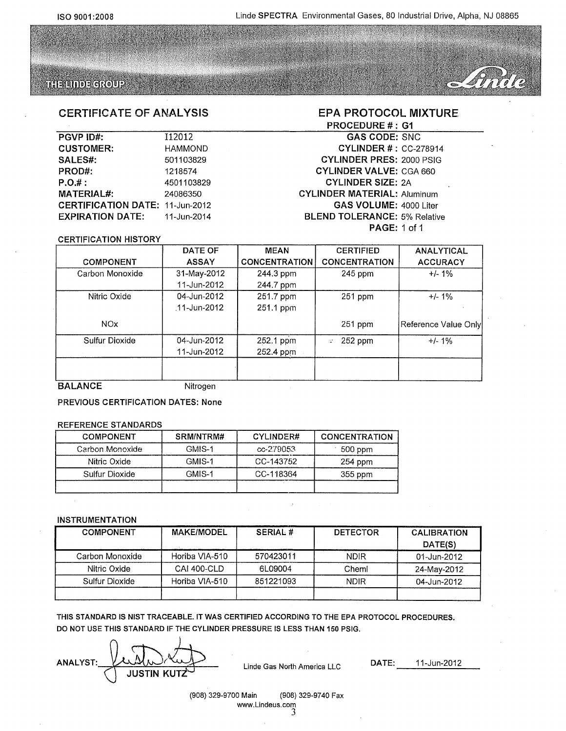### THE LINDE GROUP



### CERTIFICATE OF ANALYSIS

| <b>PGVP ID#:</b>           | 112012         |
|----------------------------|----------------|
| <b>CUSTOMER:</b>           | <b>HAMMOND</b> |
| SALES#:                    | 501103829      |
| PROD#:                     | 1218574        |
| P.O.#:                     | 4501103829     |
| <b>MATERIAL#:</b>          | 24086350       |
| <b>CERTIFICATION DATE:</b> | 11-Jun-2012    |
| <b>EXPIRATION DATE:</b>    | 11-Jun-2014    |

#### EPA PROTOCOL MIXTURE PROCEDURE #: G1

#### GAS CODE: SNC CYLINDER#: CC-278914 CYLINDER PRES: 2000 PSIG CYLINDER VALVE: CGA 660 CYLINDER SIZE: 2A CYLINDER MATERIAL: Aluminum GAS VOLUME: 4000 Liter BLEND TOLERANCE: 5% Relative PAGE: 1 of 1

#### CERTIFICATION HISTORY

|                  | DATE OF      | <b>MEAN</b>          | <b>CERTIFIED</b>     | <b>ANALYTICAL</b>    |
|------------------|--------------|----------------------|----------------------|----------------------|
| <b>COMPONENT</b> | <b>ASSAY</b> | <b>CONCENTRATION</b> | <b>CONCENTRATION</b> | <b>ACCURACY</b>      |
| Carbon Monoxide  | 31-May-2012  | 244.3 ppm            | $245$ ppm            | $+/- 1\%$            |
|                  | 11-Jun-2012  | 244.7 ppm            |                      |                      |
| Nitric Oxide     | 04-Jun-2012  | 251.7 ppm            | 251 ppm              | $+/- 1\%$            |
|                  | 11-Jun-2012  | 251.1 ppm            |                      |                      |
| NO <sub>x</sub>  |              |                      | 251 ppm              | Reference Value Only |
| Sulfur Dioxide   | 04-Jun-2012  | 252.1 ppm            | 252 ppm<br>t.        | $+/-1%$              |
|                  | 11-Jun-2012  | 252.4 ppm            |                      |                      |
|                  |              |                      |                      |                      |
| -------          |              |                      |                      |                      |

BALANCE Nitrogen

PREVIOUS CERTIFICATION DATES: None

#### REFERENCE STANDARDS

| <b>COMPONENT</b> | SRM/NTRM# | <b>CYLINDER#</b> | <b>CONCENTRATION</b> |
|------------------|-----------|------------------|----------------------|
| Carbon Monoxide  | GMIS-1    | $cc - 279053$    | 500 ppm              |
| Nitric Oxide     | GMIS-1    | CC-143752        | $254$ ppm            |
| Sulfur Dioxide   | GMIS-1    | CC-118364        | $355$ ppm            |
|                  |           |                  |                      |

#### INSTRUMENTATION

| <b>COMPONENT</b> | <b>MAKE/MODEL</b>  | <b>SERIAL#</b> | <b>DETECTOR</b> | <b>CALIBRATION</b><br>DATE(S) |
|------------------|--------------------|----------------|-----------------|-------------------------------|
| Carbon Monoxide  | Horiba VIA-510     | 570423011      | <b>NDIR</b>     | 01-Jun-2012                   |
| Nitric Oxide     | <b>CAI 400-CLD</b> | 6L09004        | Cheml           | 24-Mav-2012                   |
| Sulfur Dioxide   | Horiba VIA-510     | 851221093      | <b>NDIR</b>     | 04-Jun-2012                   |
|                  |                    |                |                 |                               |

THIS STANDARD IS NIST TRACEABLE. IT WAS CERTIFIED ACCORDING TO THE EPA PROTOCOL PROCEDURES. DO NOT USE THIS STANDARD IF THE CYLINDER PRESSURE IS LESS THAN 150 PSIG.

**ANALYST:** JUSTIN KUTZ

Linde Gas North America LLC DATE: 11-Jun-2012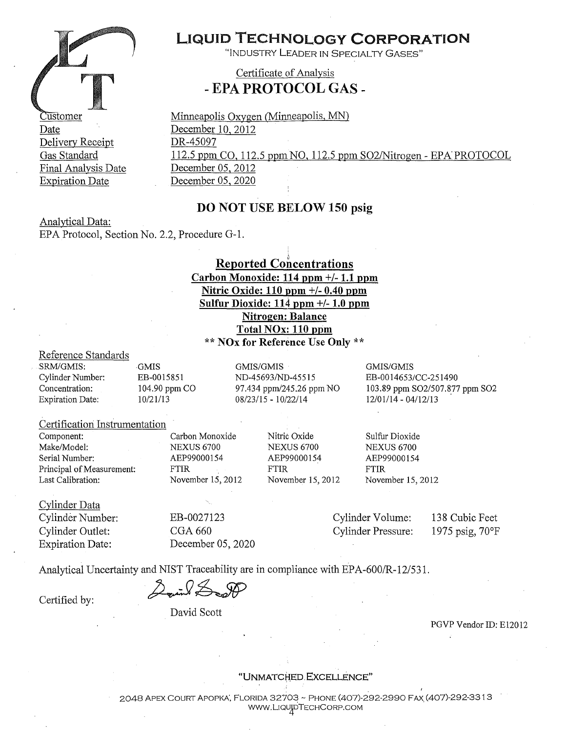

Delivery Receipt Gas Standard Final Analysis Date Expiration Date

# LIQUID TECHNOLOGY **CORPORATION**

"INDUSTRY LEADER IN SPECIALTY GASES"

Certificate of Analysis -**EPA PROTOCOL GAS** -

Minneapolis Oxygen (Minneapolis, MN) December 10, 2012 DR-45097 112.5 ppm CO, 112.5 ppm NO, 112.5 ppm 802/Nitrogen - EPA PROTOCOL December 05, 2012 December 05, 2020

### **DO NOT USE BELOW 150 psig**

Analytical Data: EPA Protocol, Section No. 2.2, Procedure G-1.

### **Reported Concentrations Carbon Monoxide: 114 ppm +/-1.1 ppm Nitric Oxide: 110 ppm** +/- **0.40 ppm Sulfur Dioxide: 114 ppm** +/- **1.0 ppm Nitrogen: Balance Total NOx: 110 ppm**  \*\* **NOx for Reference Use Only** \*\*

#### Reference Standards

SRM/GMIS: Cylinder Number: Concentration: Expiration Date: GMIS EB-0015851 104.90 ppm CO 10/21/13 GMIS/GMIS ND-45693/ND-45515 97.434 ppm/245.26 ppm NO 08/23/15 - 10/22/14 GMIS/GMIS EB-0014653/CC-251490 103.89 ppm S02/507.877 ppm S02 12/01/14 - 04/12/13 .

#### Certification Instrumentation

Component: Make/Model: Serial Number: Principal of Measurement: Last Calibration:

Carbon Monoxide NEXUS 6700 AEP99000154 FTIR November 15, 2012

Nitric Oxide NEXUS 6700 AEP99000154 FTIR

Sulfur Dioxide NEXUS 6700 AEP99000154 FTIR November 15, 2012 November 15, 2012

Cylinder Data Cylinder Number: Cylinder Outlet: Expiration Date:

EB-0027123 CGA660 December 05, 2020 Cylinder Volume: Cylinder Pressure: 138 Cubic Feet 1975 psig, 70°F

Analytical Uncertainty and NIST Traceability are in compliance with EPA-600/R-12/531.<br>Certified by:  $\mathscr{L}_{\mathsf{unif}}$ 

David Scott

PGVP Vendor ID: E12012

#### "UNMATC~ED. **EXCELLENCE"**

2048 APEX COURT APOPKA', FLORIDA 32703 - PHONE (407)-292-2990 FAX (407)-292-33 1 3 www.LiqujpTECHCORP.COM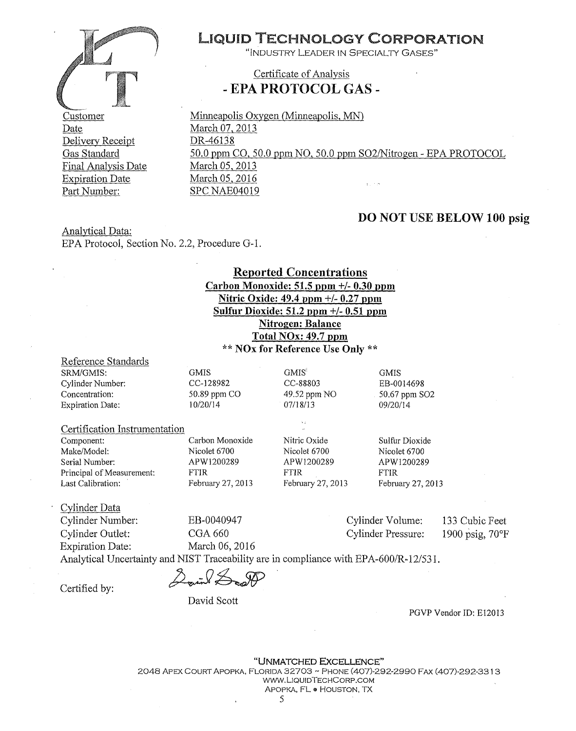

Customer Date Delivery Receipt DR-46138 Gas Standard Final Analysis Date Expiration Date Part Number:

# LIQUID TECHNOLOGY CORPORATION

"INDUSTRY LEADER IN SPECIALTY GASES"

### Certificate of Analysis - **EPA PROTOCOL GAS** -

Minneapolis Oxygen (Minneapolis, MN) March 07, 2013 50.0 ppm CO, 50.0 ppm NO, 50.0 ppm S02/Nitrogen - EPA PROTOCOL March 05, 2013 March 05, 2016 SPC NAE04019

### **DO NOT USE BELOW 100 psig**

Analytical Data: EPA Protocol, Section No. 2.2, Procedure G-1.

### **Reported Concentrations Carbon Monoxide: 51.5 ppm** +/- **0.30 ppm Nitric Oxide: 49.4 ppm** +/- **0.27 ppm Sulfur Dioxide: 51.2 ppm** +/- **0.51 ppm Nitrogen: Balance Total NOx: 49. 7 ppm**

\*\* **NOx for Reference Use Only** \*\*

GMIS' CC-88803 49.52 ppm NO 07/18/13

#### Reference Standards

SRM/GMIS: Cylinder Number: Concentration: Expiration Date: GMIS CC-128982 50.89 ppm CO 10/20/14

#### Certification Instrumentation

Component: Make/Model: Serial Number: Principal of Measurement: Last Calibration:

Carbon Monoxide Nicolet 6700 APW1200289 FTIR February 27, 2013

Nitric Oxide Nicolet 6700 APW1200289 FTIR February 27, 2013

Sulfur Dioxide Nicolet 6700 APW1200289 FTIR February 27, 2013

Cylinder Data Cylinder Number: EB-0040947 Cylinder Volume: Cylinder Outlet: CGA 660 Cylinder Pressure: Expiration Date: March 06, 2016

**GMIS** EB-0014698 50.67 ppm S02 09/20/14

> 133 Cubic Feet 1900 psig, 70°F

Analytical Uncertainty and NIST Traceability are in compliance with EPA-600/R-12/531.

 $C$ ertified by:  $\Delta$  on  $\Delta$ 

David Scott

PGVP Vendor ID: El2013

"UNMATCHED EXCELLENCE" 2048 APEX COURT APOPKA, FLORIDA 32703 ~ PHONE (407)-292-2990 FAX (407)-292-331 3 WWW.LIQUIDTECHCORP .COM APOPKA, FL *ta* HOUSTON, TX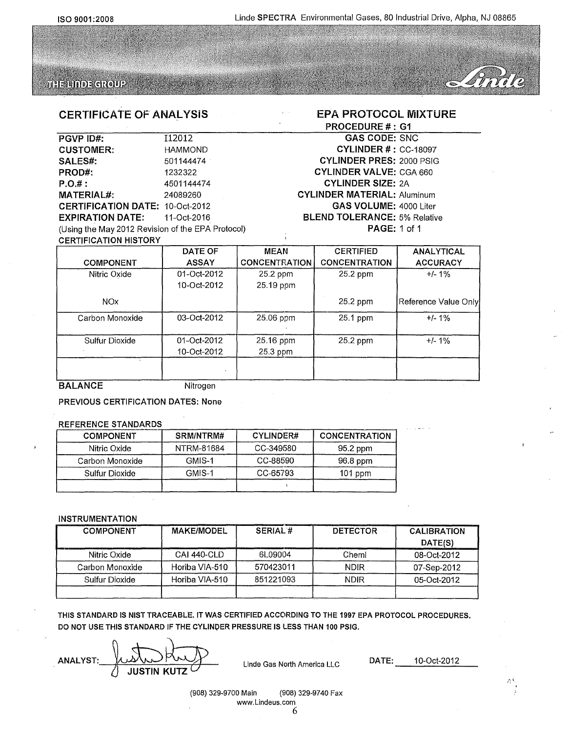EPA PROTOCOL MIXTURE

Dinile

GAS CODE: SNC CYLINDER#: CC-18097 CYLINDER PRES: 2000 PSIG CYLINDER VALVE: CGA 660 CYLINDER SIZE: 2A CYLINDER MATERIAL: Aluminum

GAS VOLUME: 4000 Liter **BLEND TOLERANCE: 5% Relative** 

PAGE: 1of1

PROCEDURE #: G1



#### CERTIFICATE OF ANALYSIS

### **PGVP ID#:** 112012 CUSTOMER: HAMMOND SALES#: 501144474 PROD#: 1232322 P.O.#: 4501144474 **MATERIAL#:** 24089260 CERTIFICATION DATE: 10-Oct-2012 EXPIRATION DATE: 11-0ct-2016 (Using the May 2012 Revision of the EPA Protocol)

| <b>CERTIFICATION HISTORY</b> |                            |                       |                      |                      |
|------------------------------|----------------------------|-----------------------|----------------------|----------------------|
|                              | DATE OF                    | <b>MEAN</b>           | <b>CERTIFIED</b>     | <b>ANALYTICAL</b>    |
| <b>COMPONENT</b>             | <b>ASSAY</b>               | <b>CONCENTRATION</b>  | <b>CONCENTRATION</b> | <b>ACCURACY</b>      |
| Nitric Oxide                 | 01-Oct-2012                | 25.2 ppm              | 25.2 ppm             | $+/- 1\%$            |
|                              | 10-Oct-2012                | 25.19 ppm             |                      |                      |
| <b>NO<sub>x</sub></b>        |                            |                       | 25.2 ppm             | Reference Value Only |
| Carbon Monoxide              | 03-Oct-2012                | 25.06 ppm             | 25.1 ppm             | $+/-1%$              |
| Sulfur Dioxide               | 01-Oct-2012<br>10-Oct-2012 | 25.16 ppm<br>25.3 ppm | 25.2 ppm             | $+/- 1\%$            |
|                              |                            |                       |                      |                      |

BALANCE Nitrogen

PREVIOUS CERTIFICATION DATES: None

#### REFERENCE STANDARDS

| <b>COMPONENT</b> | SRM/NTRM#  | CYLINDER# | <b>CONCENTRATION</b> |
|------------------|------------|-----------|----------------------|
| Nitric Oxide     | NTRM-81684 | CC-349580 | 95.2 ppm             |
| Carbon Monoxide  | GMIS-1     | CC-88590  | 96.8 ppm             |
| Sulfur Dioxide   | GMIS-1     | CC-65793  | $101$ ppm            |
|                  |            |           |                      |

#### INSTRUMENTATION

| <b>COMPONENT</b> | <b>MAKE/MODEL</b> | <b>SERIAL#</b> | <b>DETECTOR</b> | <b>CALIBRATION</b> |
|------------------|-------------------|----------------|-----------------|--------------------|
|                  |                   |                |                 | DATE(S)            |
| Nitric Oxide     | CAI 440-CLD       | 61.09004       | Cheml           | 08-Oct-2012        |
| Carbon Monoxide  | Horiba VIA-510    | 570423011      | <b>NDIR</b>     | 07-Sep-2012        |
| Sulfur Dioxide   | Horiba VIA-510    | 851221093      | <b>NDIR</b>     | 05-Oct-2012        |
|                  |                   |                |                 |                    |

THIS STANDARD IS NIST TRACEABLE. IT WAS CERTIFIED ACCORDING TO THE 1997 EPA PROTOCOL PROCEDURES. DO NOT USE THIS STANDARD IF THE CYLINDER PRESSURE IS LESS THAN 100 PSIG.

ANALYST:  $\mu\lambda\lambda\lambda$ <br>2] JUSTIN KUTZ Linde Gas North America LLC DATE: 10-Oct-2012

*,r;* \

(908) 329-9700 Main (908) 329-9740 Fax www.Lindeus.com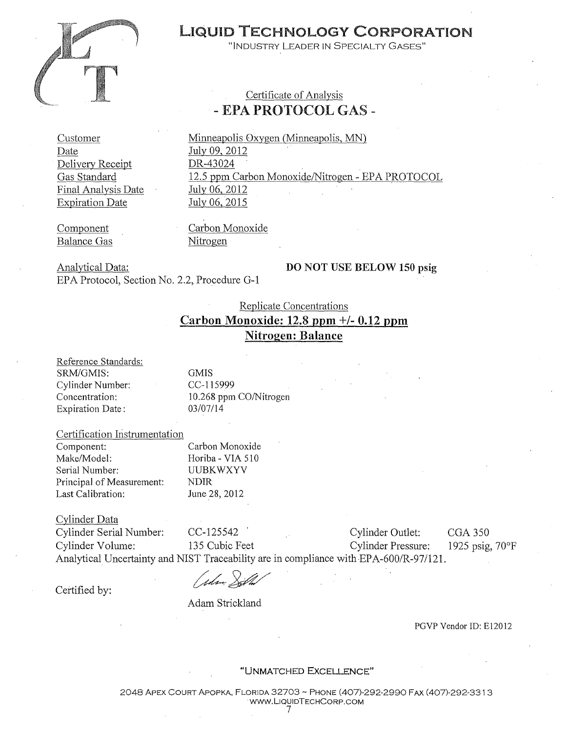

# LIQUID TECHNOLOGY CORPORATION

"INDUSTRY LEADER IN SPECIALTY GASES"

### Certificate of Analysis - EPA PROTOCOL GAS -

Customer Date Delivery Receipt Gas Standard Final Analysis Date Expiration Date

Minneapolis Oxygen (Minneapolis, MN) July 09, 2012 DR-43024 12.5 ppm Carbon Monoxide/Nitrogen- EPA PROTOCOL July 06, 2012 July 06, 2015

Component Balance Gas Carbon Monoxide Nitrogen

Analytical Data: EPA Protocol, Section No. 2.2, Procedure G-1

### **DO NOT** USE **BELOW 150 psig**

### Replicate Concentrations **Carbon Monoxide: 12.8 ppm+/- 0.12 ppm Nitrogen: Balance**

Reference Standards: SRM/GMIS: Cylinder Number: Concentration: Expiration Date:

GMIS CC-115999 10.268 ppm CO/Nitrogen 03/07/14

Certification Instrumentation

Component: Make/Model: Serial Number: Principal of Measurement: Last Calibration: Carbon Monoxide Horiba - VIA 510 UUBKWXYV NDIR June 28, 2012

Cylinder Data

Cylinder Serial Number: CC-125542 · Cylinder Outlet: CGA 350 Cylinder Volume: 135 Cubic Feet Cylinder Pressure: 1925 psig, 70°F Analytical Uncertainty and NIST Traceability are in compliance with EPA-600/R-97/121.

( plm Dit

Certified by:

Adam Strickland

PGVP Vendor ID: E12012

"UNMATCHED EXCELLENCE"

2048 APEX COURT APOPKA, FLORIDA 32703 - PHONE (407)-292-2990 FAX (407)-292-331 3 ·WWW. LIQUIDTECHCORP.COM 7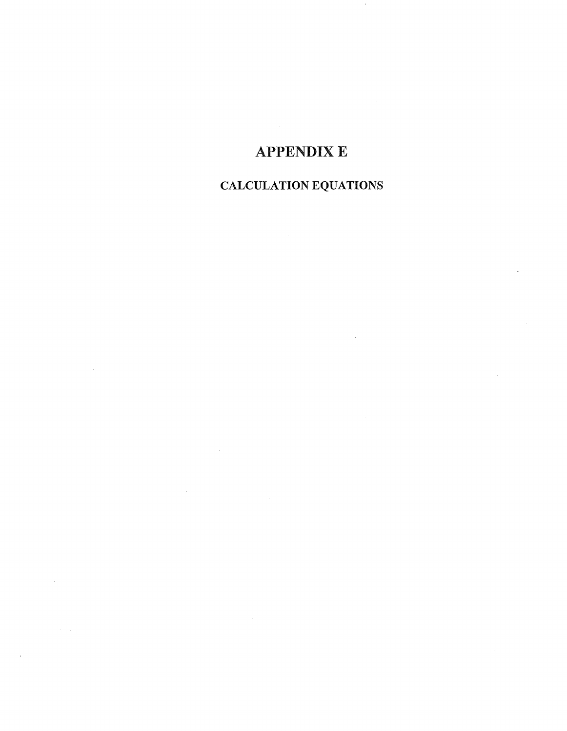# **APPENDIXE**

# CALCULATION EQUATIONS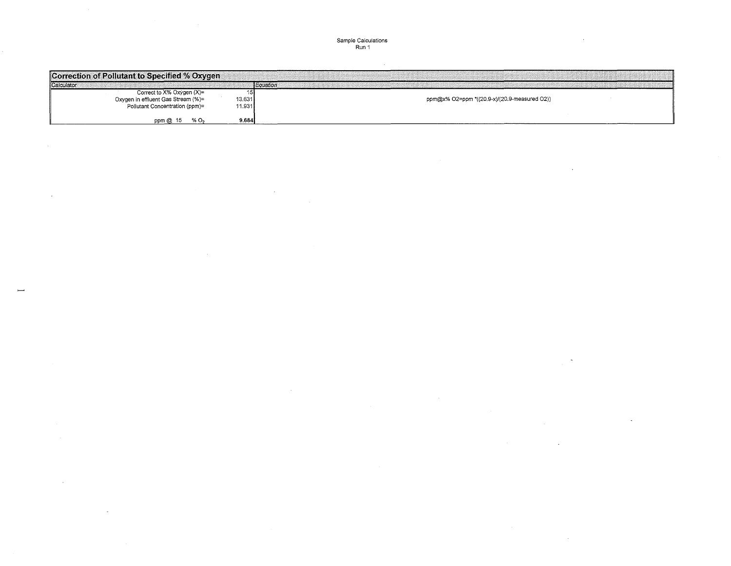### Sample Calculations Run 1

 $\mathcal{L}$ 

| Correction of Pollutant to Specified % Oxygen                                                     |                  |                                              |
|---------------------------------------------------------------------------------------------------|------------------|----------------------------------------------|
| Calculator                                                                                        |                  | Equation                                     |
| Correct to X% Oxygen (X)=<br>Oxygen in effluent Gas Stream (%)=<br>Pollutant Concentration (ppm)= | 13.631<br>11.931 | ppm@x% O2=ppm *((20.9-x)/(20.9-measured O2)) |
| $%$ O <sub>2</sub><br>ppm @ 15                                                                    | 9.684            |                                              |

 $\sim$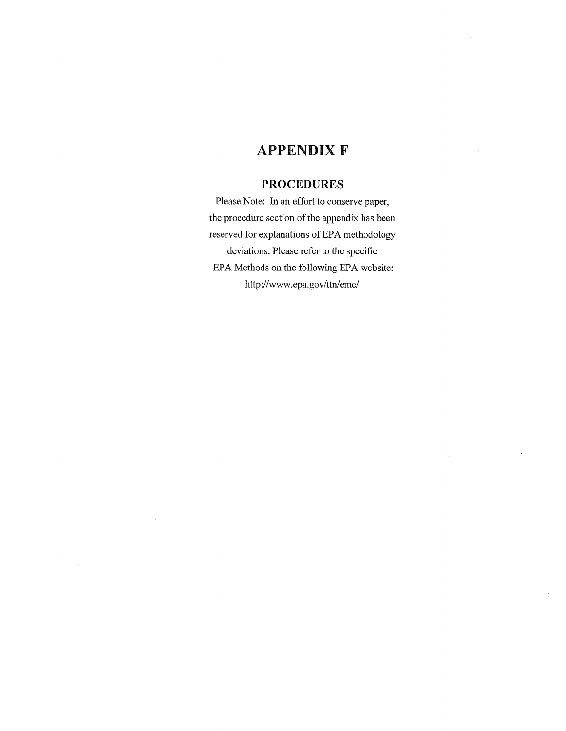# **APPENDIX F**

### **PROCEDURES**

Please Note: In an effort to conserve paper, the procedure section of the appendix has been reserved for explanations of EPA methodology deviations. Please refer to the specific EPA Methods on the following EPA website: http://www.epa.gov/ttn/emc/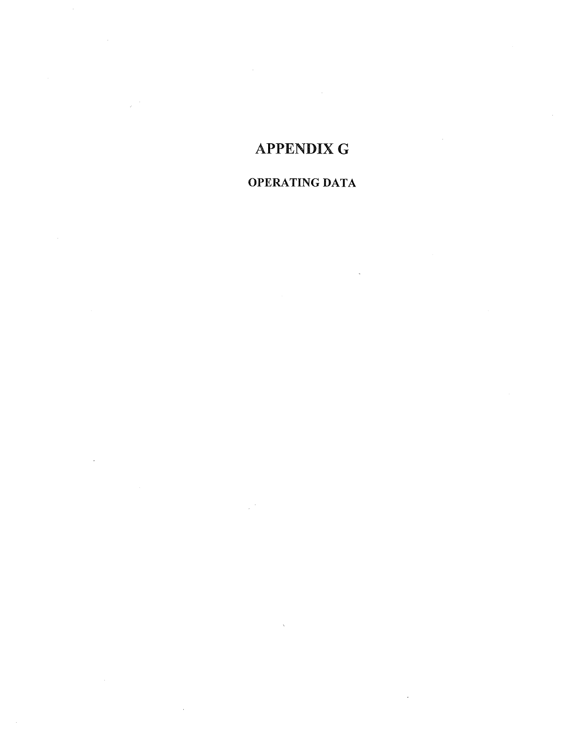# **APPENDIX G**

 $\bar{z}$ 

# OPERATING DATA